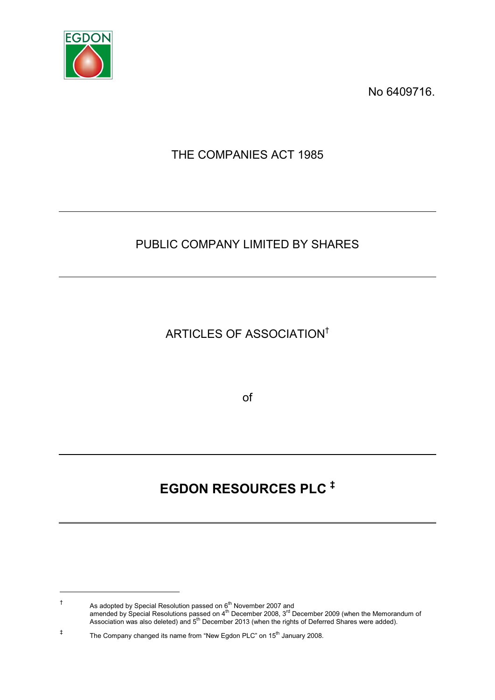

-

No 6409716.

THE COMPANIES ACT 1985

## PUBLIC COMPANY LIMITED BY SHARES

ARTICLES OF ASSOCIATION†

of

# **EGDON RESOURCES PLC**

<sup>†</sup> As adopted by Special Resolution passed on  $6<sup>th</sup>$  November 2007 and amended by Special Resolutions passed on 4<sup>th</sup> December 2008, 3<sup>rd</sup> December 2009 (when the Memorandum of Association was also deleted) and 5<sup>th</sup> December 2013 (when the rights of Deferred Shares were added).

<sup>‡</sup> The Company changed its name from "New Egdon PLC" on 15<sup>th</sup> January 2008.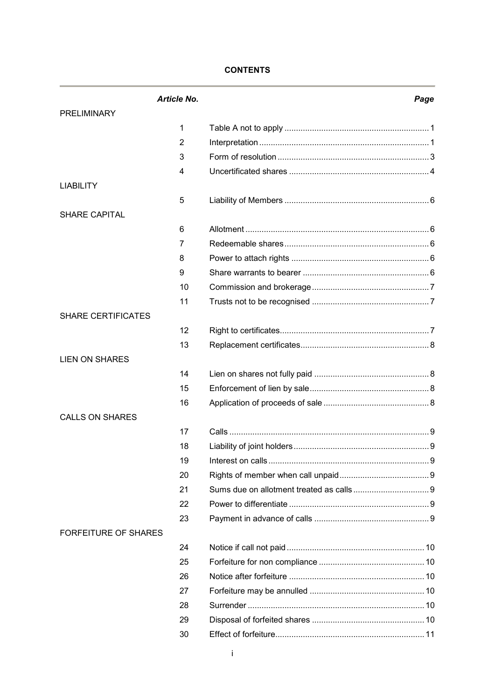## **CONTENTS**

|                             | <b>Article No.</b> |                   | Page |
|-----------------------------|--------------------|-------------------|------|
| <b>PRELIMINARY</b>          |                    |                   |      |
|                             | 1                  |                   |      |
|                             | $\overline{2}$     |                   |      |
|                             | 3                  |                   |      |
|                             | 4                  |                   |      |
| <b>LIABILITY</b>            |                    |                   |      |
|                             | 5                  |                   |      |
| SHARE CAPITAL               |                    |                   |      |
|                             | 6                  |                   |      |
|                             | 7                  |                   |      |
|                             | 8                  |                   |      |
|                             | 9                  |                   |      |
|                             | 10                 |                   |      |
|                             | 11                 |                   |      |
| <b>SHARE CERTIFICATES</b>   |                    |                   |      |
|                             | 12                 |                   |      |
|                             | 13                 |                   |      |
| <b>LIEN ON SHARES</b>       |                    |                   |      |
|                             | 14                 |                   |      |
|                             | 15                 |                   |      |
|                             | 16                 |                   |      |
| <b>CALLS ON SHARES</b>      |                    |                   |      |
|                             | 17                 |                   |      |
|                             | 18                 |                   |      |
|                             | 19                 | Interest on calls | 9    |
|                             | 20                 |                   |      |
|                             | 21                 |                   |      |
|                             | 22                 |                   |      |
|                             | 23                 |                   |      |
| <b>FORFEITURE OF SHARES</b> |                    |                   |      |
|                             | 24                 |                   |      |
|                             | 25                 |                   |      |
|                             | 26                 |                   |      |
|                             | 27                 |                   |      |
|                             | 28                 |                   |      |
|                             | 29                 |                   |      |
|                             | 30                 |                   |      |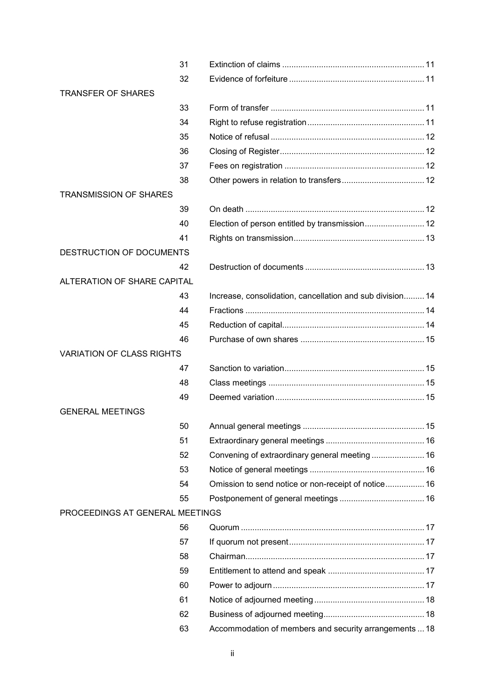|                                  | 31 |                                                           |  |
|----------------------------------|----|-----------------------------------------------------------|--|
|                                  | 32 |                                                           |  |
| <b>TRANSFER OF SHARES</b>        |    |                                                           |  |
|                                  | 33 |                                                           |  |
|                                  | 34 |                                                           |  |
|                                  | 35 |                                                           |  |
|                                  | 36 |                                                           |  |
|                                  | 37 |                                                           |  |
|                                  | 38 |                                                           |  |
| <b>TRANSMISSION OF SHARES</b>    |    |                                                           |  |
|                                  | 39 |                                                           |  |
|                                  | 40 | Election of person entitled by transmission 12            |  |
|                                  | 41 |                                                           |  |
| DESTRUCTION OF DOCUMENTS         |    |                                                           |  |
|                                  | 42 |                                                           |  |
| ALTERATION OF SHARE CAPITAL      |    |                                                           |  |
|                                  | 43 | Increase, consolidation, cancellation and sub division 14 |  |
|                                  | 44 |                                                           |  |
|                                  | 45 |                                                           |  |
|                                  | 46 |                                                           |  |
| <b>VARIATION OF CLASS RIGHTS</b> |    |                                                           |  |
|                                  | 47 |                                                           |  |
|                                  | 48 |                                                           |  |
|                                  | 49 |                                                           |  |
| <b>GENERAL MEETINGS</b>          |    |                                                           |  |
|                                  | 50 |                                                           |  |
|                                  | 51 |                                                           |  |
|                                  | 52 | Convening of extraordinary general meeting  16            |  |
|                                  | 53 |                                                           |  |
|                                  | 54 | Omission to send notice or non-receipt of notice 16       |  |
|                                  | 55 |                                                           |  |
| PROCEEDINGS AT GENERAL MEETINGS  |    |                                                           |  |
|                                  | 56 |                                                           |  |
|                                  | 57 |                                                           |  |
|                                  | 58 |                                                           |  |
|                                  | 59 |                                                           |  |
|                                  | 60 |                                                           |  |
|                                  | 61 |                                                           |  |
|                                  | 62 |                                                           |  |
|                                  | 63 | Accommodation of members and security arrangements  18    |  |
|                                  |    |                                                           |  |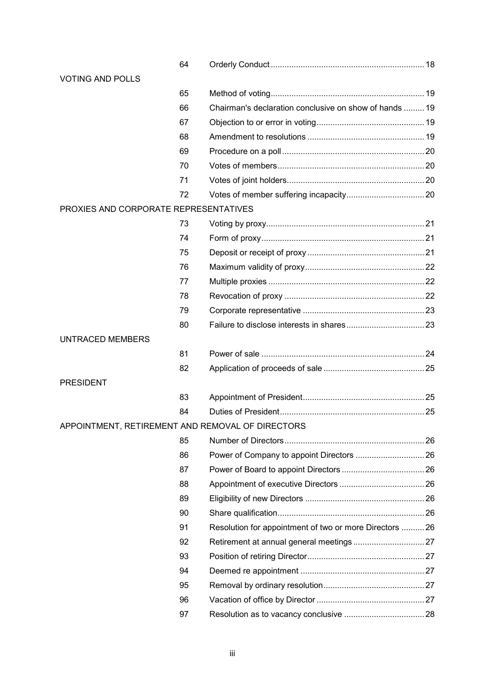|                                       | 64 |                                                         |  |
|---------------------------------------|----|---------------------------------------------------------|--|
| <b>VOTING AND POLLS</b>               |    |                                                         |  |
|                                       | 65 |                                                         |  |
|                                       | 66 | Chairman's declaration conclusive on show of hands  19  |  |
|                                       | 67 |                                                         |  |
|                                       | 68 |                                                         |  |
|                                       | 69 |                                                         |  |
|                                       | 70 |                                                         |  |
|                                       | 71 |                                                         |  |
|                                       | 72 |                                                         |  |
| PROXIES AND CORPORATE REPRESENTATIVES |    |                                                         |  |
|                                       | 73 |                                                         |  |
|                                       | 74 |                                                         |  |
|                                       | 75 |                                                         |  |
|                                       | 76 |                                                         |  |
|                                       | 77 |                                                         |  |
|                                       | 78 |                                                         |  |
|                                       | 79 |                                                         |  |
|                                       | 80 |                                                         |  |
| <b>UNTRACED MEMBERS</b>               |    |                                                         |  |
|                                       | 81 |                                                         |  |
|                                       | 82 |                                                         |  |
| <b>PRESIDENT</b>                      |    |                                                         |  |
|                                       | 83 |                                                         |  |
|                                       | 84 |                                                         |  |
|                                       |    | APPOINTMENT, RETIREMENT AND REMOVAL OF DIRECTORS        |  |
|                                       | 85 |                                                         |  |
|                                       | 86 | Power of Company to appoint Directors  26               |  |
|                                       | 87 |                                                         |  |
|                                       | 88 |                                                         |  |
|                                       | 89 |                                                         |  |
|                                       | 90 |                                                         |  |
|                                       | 91 | Resolution for appointment of two or more Directors  26 |  |
|                                       | 92 |                                                         |  |
|                                       | 93 |                                                         |  |
|                                       | 94 |                                                         |  |
|                                       | 95 |                                                         |  |
|                                       | 96 |                                                         |  |
|                                       | 97 |                                                         |  |
|                                       |    |                                                         |  |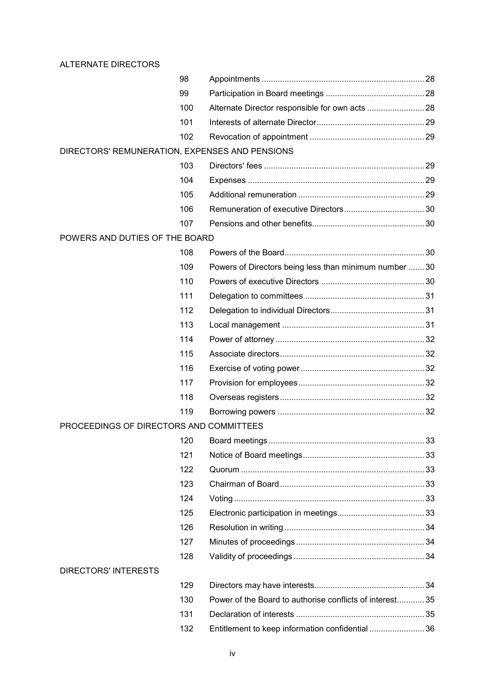## ALTERNATE DIRECTORS

|                                                | 98  |                                                          |  |
|------------------------------------------------|-----|----------------------------------------------------------|--|
|                                                | 99  |                                                          |  |
|                                                | 100 |                                                          |  |
|                                                | 101 |                                                          |  |
|                                                | 102 |                                                          |  |
| DIRECTORS' REMUNERATION, EXPENSES AND PENSIONS |     |                                                          |  |
|                                                | 103 |                                                          |  |
|                                                | 104 |                                                          |  |
|                                                | 105 |                                                          |  |
|                                                | 106 |                                                          |  |
|                                                | 107 |                                                          |  |
| POWERS AND DUTIES OF THE BOARD                 |     |                                                          |  |
|                                                | 108 |                                                          |  |
|                                                | 109 | Powers of Directors being less than minimum number 30    |  |
|                                                | 110 |                                                          |  |
|                                                | 111 |                                                          |  |
|                                                | 112 |                                                          |  |
|                                                | 113 |                                                          |  |
|                                                | 114 |                                                          |  |
|                                                | 115 |                                                          |  |
|                                                | 116 |                                                          |  |
|                                                | 117 |                                                          |  |
|                                                | 118 |                                                          |  |
|                                                | 119 |                                                          |  |
| PROCEEDINGS OF DIRECTORS AND COMMITTEES        |     |                                                          |  |
|                                                | 120 |                                                          |  |
|                                                | 121 |                                                          |  |
|                                                | 122 |                                                          |  |
|                                                | 123 |                                                          |  |
|                                                | 124 |                                                          |  |
|                                                | 125 |                                                          |  |
|                                                | 126 |                                                          |  |
|                                                | 127 |                                                          |  |
|                                                | 128 |                                                          |  |
| <b>DIRECTORS' INTERESTS</b>                    |     |                                                          |  |
|                                                | 129 |                                                          |  |
|                                                | 130 | Power of the Board to authorise conflicts of interest 35 |  |
|                                                | 131 |                                                          |  |
|                                                | 132 | Entitlement to keep information confidential  36         |  |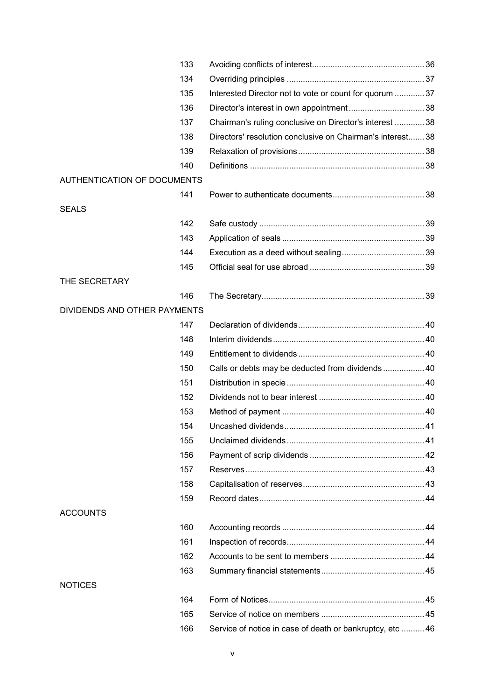| 133                                |                                                            |  |
|------------------------------------|------------------------------------------------------------|--|
| 134                                |                                                            |  |
| 135                                | Interested Director not to vote or count for quorum  37    |  |
| 136                                |                                                            |  |
| 137                                | Chairman's ruling conclusive on Director's interest  38    |  |
| 138                                | Directors' resolution conclusive on Chairman's interest 38 |  |
| 139                                |                                                            |  |
| 140                                |                                                            |  |
| <b>AUTHENTICATION OF DOCUMENTS</b> |                                                            |  |
| 141                                |                                                            |  |
| <b>SEALS</b>                       |                                                            |  |
| 142                                |                                                            |  |
| 143                                |                                                            |  |
| 144                                |                                                            |  |
| 145                                |                                                            |  |
| THE SECRETARY                      |                                                            |  |
| 146                                |                                                            |  |
| DIVIDENDS AND OTHER PAYMENTS       |                                                            |  |
| 147                                |                                                            |  |
| 148                                |                                                            |  |
| 149                                |                                                            |  |
| 150                                | Calls or debts may be deducted from dividends  40          |  |
| 151                                |                                                            |  |
| 152                                |                                                            |  |
| 153                                |                                                            |  |
| 154                                |                                                            |  |
| 155                                |                                                            |  |
| 156                                |                                                            |  |
| 157                                |                                                            |  |
| 158                                |                                                            |  |
| 159                                |                                                            |  |
| <b>ACCOUNTS</b>                    |                                                            |  |
| 160                                |                                                            |  |
| 161                                |                                                            |  |
| 162                                |                                                            |  |
| 163                                |                                                            |  |
| <b>NOTICES</b>                     |                                                            |  |
| 164                                |                                                            |  |
| 165                                |                                                            |  |
| 166                                | Service of notice in case of death or bankruptcy, etc  46  |  |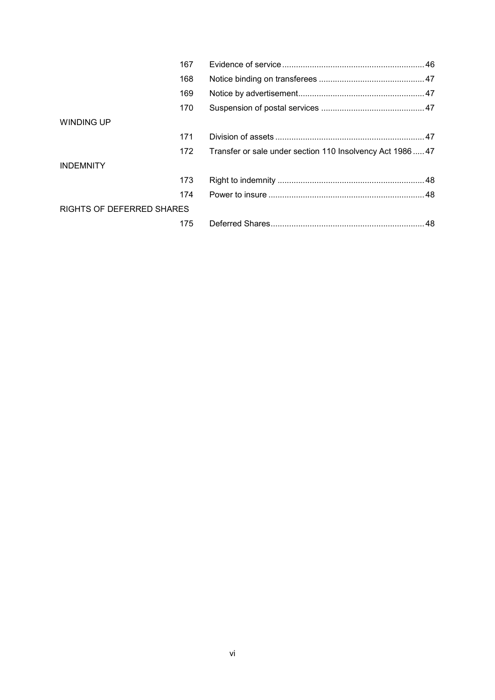|                           | 167 |                                                           |  |
|---------------------------|-----|-----------------------------------------------------------|--|
|                           | 168 |                                                           |  |
|                           | 169 |                                                           |  |
|                           | 170 |                                                           |  |
| WINDING UP                |     |                                                           |  |
|                           | 171 |                                                           |  |
|                           | 172 | Transfer or sale under section 110 Insolvency Act 1986 47 |  |
| <b>INDEMNITY</b>          |     |                                                           |  |
|                           | 173 |                                                           |  |
|                           | 174 |                                                           |  |
| RIGHTS OF DEFERRED SHARES |     |                                                           |  |
|                           | 175 |                                                           |  |
|                           |     |                                                           |  |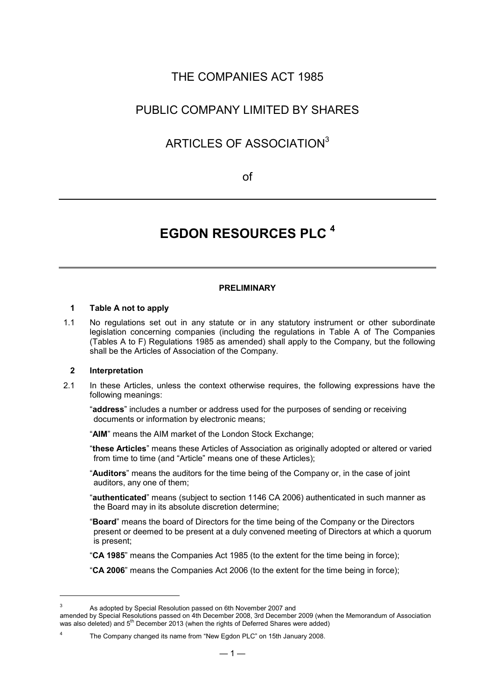## THE COMPANIES ACT 1985

## PUBLIC COMPANY LIMITED BY SHARES

## ARTICLES OF ASSOCIATION<sup>3</sup>

of

## **EGDON RESOURCES PLC <sup>4</sup>**

## **PRELIMINARY**

## **1 Table A not to apply**

1.1 No regulations set out in any statute or in any statutory instrument or other subordinate legislation concerning companies (including the regulations in Table A of The Companies (Tables A to F) Regulations 1985 as amended) shall apply to the Company, but the following shall be the Articles of Association of the Company.

#### **2 Interpretation**

-

2.1 In these Articles, unless the context otherwise requires, the following expressions have the following meanings:

"**address**" includes a number or address used for the purposes of sending or receiving documents or information by electronic means;

"**AIM**" means the AIM market of the London Stock Exchange;

"**these Articles**" means these Articles of Association as originally adopted or altered or varied from time to time (and "Article" means one of these Articles);

"**Auditors**" means the auditors for the time being of the Company or, in the case of joint auditors, any one of them;

"**authenticated**" means (subject to section 1146 CA 2006) authenticated in such manner as the Board may in its absolute discretion determine;

"**Board**" means the board of Directors for the time being of the Company or the Directors present or deemed to be present at a duly convened meeting of Directors at which a quorum is present;

"**CA 1985**" means the Companies Act 1985 (to the extent for the time being in force);

"**CA 2006**" means the Companies Act 2006 (to the extent for the time being in force);

<sup>&</sup>lt;sup>3</sup> As adopted by Special Resolution passed on 6th November 2007 and

amended by Special Resolutions passed on 4th December 2008, 3rd December 2009 (when the Memorandum of Association was also deleted) and 5<sup>th</sup> December 2013 (when the rights of Deferred Shares were added)

<sup>&</sup>lt;sup>4</sup> The Company changed its name from "New Egdon PLC" on 15th January 2008.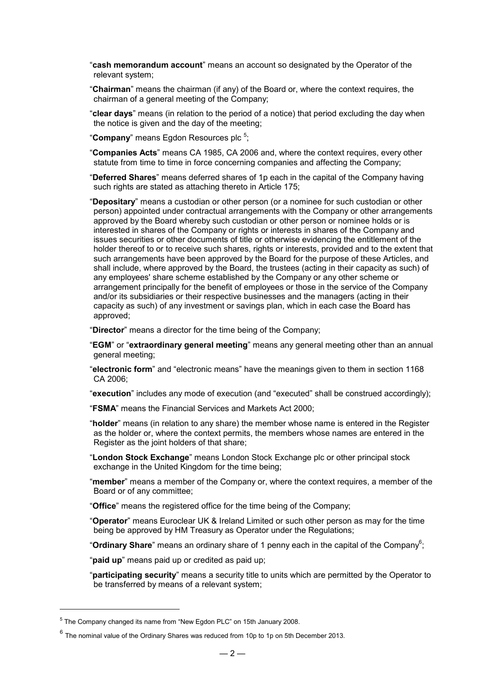- "**cash memorandum account**" means an account so designated by the Operator of the relevant system;
- "**Chairman**" means the chairman (if any) of the Board or, where the context requires, the chairman of a general meeting of the Company;
- "**clear days**" means (in relation to the period of a notice) that period excluding the day when the notice is given and the day of the meeting;
- "Company" means Egdon Resources plc<sup>5</sup>;
- "**Companies Acts**" means CA 1985, CA 2006 and, where the context requires, every other statute from time to time in force concerning companies and affecting the Company;
- "**Deferred Shares**" means deferred shares of 1p each in the capital of the Company having such rights are stated as attaching thereto in Article 175;
- "**Depositary**" means a custodian or other person (or a nominee for such custodian or other person) appointed under contractual arrangements with the Company or other arrangements approved by the Board whereby such custodian or other person or nominee holds or is interested in shares of the Company or rights or interests in shares of the Company and issues securities or other documents of title or otherwise evidencing the entitlement of the holder thereof to or to receive such shares, rights or interests, provided and to the extent that such arrangements have been approved by the Board for the purpose of these Articles, and shall include, where approved by the Board, the trustees (acting in their capacity as such) of any employees' share scheme established by the Company or any other scheme or arrangement principally for the benefit of employees or those in the service of the Company and/or its subsidiaries or their respective businesses and the managers (acting in their capacity as such) of any investment or savings plan, which in each case the Board has approved;

"**Director**" means a director for the time being of the Company;

- "**EGM**" or "**extraordinary general meeting**" means any general meeting other than an annual general meeting;
- "**electronic form**" and "electronic means" have the meanings given to them in section 1168 CA 2006;
- "**execution**" includes any mode of execution (and "executed" shall be construed accordingly);
- "**FSMA**" means the Financial Services and Markets Act 2000;
- "**holder**" means (in relation to any share) the member whose name is entered in the Register as the holder or, where the context permits, the members whose names are entered in the Register as the joint holders of that share;
- "**London Stock Exchange**" means London Stock Exchange plc or other principal stock exchange in the United Kingdom for the time being;
- "**member**" means a member of the Company or, where the context requires, a member of the Board or of any committee;
- "**Office**" means the registered office for the time being of the Company;
- "**Operator**" means Euroclear UK & Ireland Limited or such other person as may for the time being be approved by HM Treasury as Operator under the Regulations;
- "**Ordinary Share**" means an ordinary share of 1 penny each in the capital of the Company<sup>6</sup>;

"**paid up**" means paid up or credited as paid up;

"**participating security**" means a security title to units which are permitted by the Operator to be transferred by means of a relevant system;

-

<sup>&</sup>lt;sup>5</sup> The Company changed its name from "New Egdon PLC" on 15th January 2008.

 $^6$  The nominal value of the Ordinary Shares was reduced from 10p to 1p on 5th December 2013.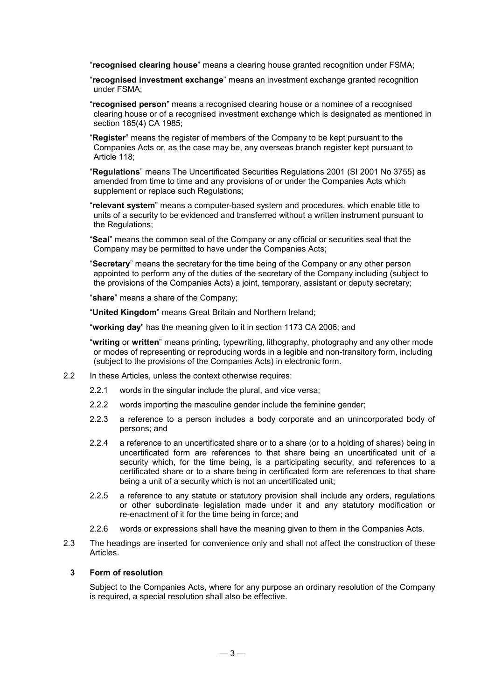"**recognised clearing house**" means a clearing house granted recognition under FSMA;

- "**recognised investment exchange**" means an investment exchange granted recognition under FSMA;
- "**recognised person**" means a recognised clearing house or a nominee of a recognised clearing house or of a recognised investment exchange which is designated as mentioned in section 185(4) CA 1985;
- "**Register**" means the register of members of the Company to be kept pursuant to the Companies Acts or, as the case may be, any overseas branch register kept pursuant to Article 118;
- "**Regulations**" means The Uncertificated Securities Regulations 2001 (SI 2001 No 3755) as amended from time to time and any provisions of or under the Companies Acts which supplement or replace such Regulations;
- "**relevant system**" means a computer-based system and procedures, which enable title to units of a security to be evidenced and transferred without a written instrument pursuant to the Regulations;
- "**Seal**" means the common seal of the Company or any official or securities seal that the Company may be permitted to have under the Companies Acts;
- "**Secretary**" means the secretary for the time being of the Company or any other person appointed to perform any of the duties of the secretary of the Company including (subject to the provisions of the Companies Acts) a joint, temporary, assistant or deputy secretary;

"**share**" means a share of the Company;

"**United Kingdom**" means Great Britain and Northern Ireland;

"**working day**" has the meaning given to it in section 1173 CA 2006; and

- "**writing** or **written**" means printing, typewriting, lithography, photography and any other mode or modes of representing or reproducing words in a legible and non-transitory form, including (subject to the provisions of the Companies Acts) in electronic form.
- 2.2 In these Articles, unless the context otherwise requires:
	- 2.2.1 words in the singular include the plural, and vice versa;
	- 2.2.2 words importing the masculine gender include the feminine gender;
	- 2.2.3 a reference to a person includes a body corporate and an unincorporated body of persons; and
	- 2.2.4 a reference to an uncertificated share or to a share (or to a holding of shares) being in uncertificated form are references to that share being an uncertificated unit of a security which, for the time being, is a participating security, and references to a certificated share or to a share being in certificated form are references to that share being a unit of a security which is not an uncertificated unit:
	- 2.2.5 a reference to any statute or statutory provision shall include any orders, regulations or other subordinate legislation made under it and any statutory modification or re-enactment of it for the time being in force; and
	- 2.2.6 words or expressions shall have the meaning given to them in the Companies Acts.
- 2.3 The headings are inserted for convenience only and shall not affect the construction of these Articles.

#### **3 Form of resolution**

Subject to the Companies Acts, where for any purpose an ordinary resolution of the Company is required, a special resolution shall also be effective.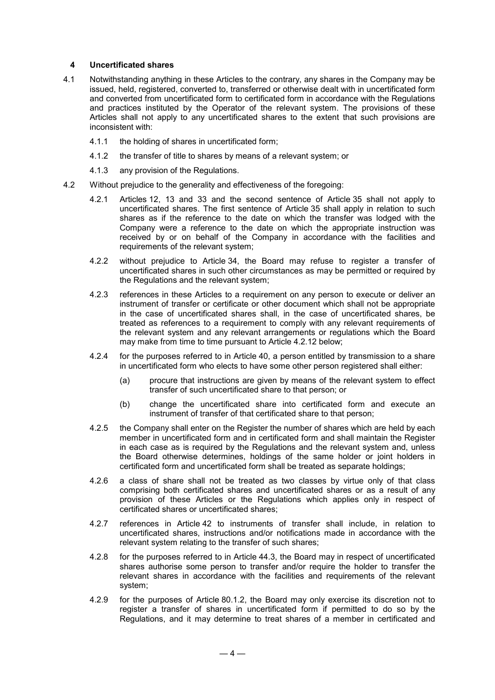#### **4 Uncertificated shares**

- 4.1 Notwithstanding anything in these Articles to the contrary, any shares in the Company may be issued, held, registered, converted to, transferred or otherwise dealt with in uncertificated form and converted from uncertificated form to certificated form in accordance with the Regulations and practices instituted by the Operator of the relevant system. The provisions of these Articles shall not apply to any uncertificated shares to the extent that such provisions are inconsistent with:
	- 4.1.1 the holding of shares in uncertificated form;
	- 4.1.2 the transfer of title to shares by means of a relevant system; or
	- 4.1.3 any provision of the Regulations.
- 4.2 Without prejudice to the generality and effectiveness of the foregoing:
	- 4.2.1 Articles 12, 13 and 33 and the second sentence of Article 35 shall not apply to uncertificated shares. The first sentence of Article 35 shall apply in relation to such shares as if the reference to the date on which the transfer was lodged with the Company were a reference to the date on which the appropriate instruction was received by or on behalf of the Company in accordance with the facilities and requirements of the relevant system;
	- 4.2.2 without prejudice to Article 34, the Board may refuse to register a transfer of uncertificated shares in such other circumstances as may be permitted or required by the Regulations and the relevant system;
	- 4.2.3 references in these Articles to a requirement on any person to execute or deliver an instrument of transfer or certificate or other document which shall not be appropriate in the case of uncertificated shares shall, in the case of uncertificated shares, be treated as references to a requirement to comply with any relevant requirements of the relevant system and any relevant arrangements or regulations which the Board may make from time to time pursuant to Article 4.2.12 below;
	- 4.2.4 for the purposes referred to in Article 40, a person entitled by transmission to a share in uncertificated form who elects to have some other person registered shall either:
		- (a) procure that instructions are given by means of the relevant system to effect transfer of such uncertificated share to that person; or
		- (b) change the uncertificated share into certificated form and execute an instrument of transfer of that certificated share to that person;
	- 4.2.5 the Company shall enter on the Register the number of shares which are held by each member in uncertificated form and in certificated form and shall maintain the Register in each case as is required by the Regulations and the relevant system and, unless the Board otherwise determines, holdings of the same holder or joint holders in certificated form and uncertificated form shall be treated as separate holdings;
	- 4.2.6 a class of share shall not be treated as two classes by virtue only of that class comprising both certificated shares and uncertificated shares or as a result of any provision of these Articles or the Regulations which applies only in respect of certificated shares or uncertificated shares;
	- 4.2.7 references in Article 42 to instruments of transfer shall include, in relation to uncertificated shares, instructions and/or notifications made in accordance with the relevant system relating to the transfer of such shares;
	- 4.2.8 for the purposes referred to in Article 44.3, the Board may in respect of uncertificated shares authorise some person to transfer and/or require the holder to transfer the relevant shares in accordance with the facilities and requirements of the relevant system;
	- 4.2.9 for the purposes of Article 80.1.2, the Board may only exercise its discretion not to register a transfer of shares in uncertificated form if permitted to do so by the Regulations, and it may determine to treat shares of a member in certificated and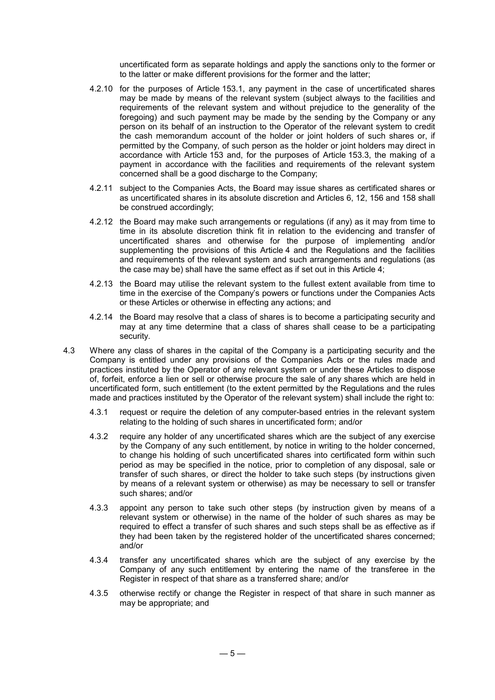uncertificated form as separate holdings and apply the sanctions only to the former or to the latter or make different provisions for the former and the latter;

- 4.2.10 for the purposes of Article 153.1, any payment in the case of uncertificated shares may be made by means of the relevant system (subject always to the facilities and requirements of the relevant system and without prejudice to the generality of the foregoing) and such payment may be made by the sending by the Company or any person on its behalf of an instruction to the Operator of the relevant system to credit the cash memorandum account of the holder or joint holders of such shares or, if permitted by the Company, of such person as the holder or joint holders may direct in accordance with Article 153 and, for the purposes of Article 153.3, the making of a payment in accordance with the facilities and requirements of the relevant system concerned shall be a good discharge to the Company;
- 4.2.11 subject to the Companies Acts, the Board may issue shares as certificated shares or as uncertificated shares in its absolute discretion and Articles 6, 12, 156 and 158 shall be construed accordingly;
- 4.2.12 the Board may make such arrangements or regulations (if any) as it may from time to time in its absolute discretion think fit in relation to the evidencing and transfer of uncertificated shares and otherwise for the purpose of implementing and/or supplementing the provisions of this Article 4 and the Regulations and the facilities and requirements of the relevant system and such arrangements and regulations (as the case may be) shall have the same effect as if set out in this Article 4;
- 4.2.13 the Board may utilise the relevant system to the fullest extent available from time to time in the exercise of the Company's powers or functions under the Companies Acts or these Articles or otherwise in effecting any actions; and
- 4.2.14 the Board may resolve that a class of shares is to become a participating security and may at any time determine that a class of shares shall cease to be a participating security.
- 4.3 Where any class of shares in the capital of the Company is a participating security and the Company is entitled under any provisions of the Companies Acts or the rules made and practices instituted by the Operator of any relevant system or under these Articles to dispose of, forfeit, enforce a lien or sell or otherwise procure the sale of any shares which are held in uncertificated form, such entitlement (to the extent permitted by the Regulations and the rules made and practices instituted by the Operator of the relevant system) shall include the right to:
	- 4.3.1 request or require the deletion of any computer-based entries in the relevant system relating to the holding of such shares in uncertificated form; and/or
	- 4.3.2 require any holder of any uncertificated shares which are the subject of any exercise by the Company of any such entitlement, by notice in writing to the holder concerned, to change his holding of such uncertificated shares into certificated form within such period as may be specified in the notice, prior to completion of any disposal, sale or transfer of such shares, or direct the holder to take such steps (by instructions given by means of a relevant system or otherwise) as may be necessary to sell or transfer such shares; and/or
	- 4.3.3 appoint any person to take such other steps (by instruction given by means of a relevant system or otherwise) in the name of the holder of such shares as may be required to effect a transfer of such shares and such steps shall be as effective as if they had been taken by the registered holder of the uncertificated shares concerned; and/or
	- 4.3.4 transfer any uncertificated shares which are the subject of any exercise by the Company of any such entitlement by entering the name of the transferee in the Register in respect of that share as a transferred share; and/or
	- 4.3.5 otherwise rectify or change the Register in respect of that share in such manner as may be appropriate; and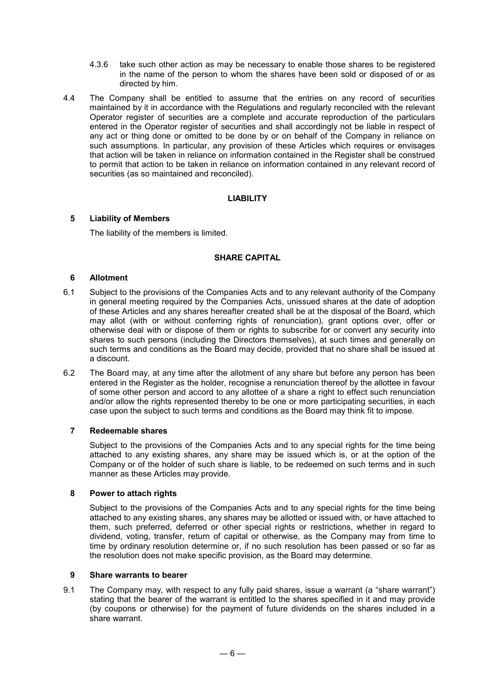- 4.3.6 take such other action as may be necessary to enable those shares to be registered in the name of the person to whom the shares have been sold or disposed of or as directed by him.
- 4.4 The Company shall be entitled to assume that the entries on any record of securities maintained by it in accordance with the Regulations and regularly reconciled with the relevant Operator register of securities are a complete and accurate reproduction of the particulars entered in the Operator register of securities and shall accordingly not be liable in respect of any act or thing done or omitted to be done by or on behalf of the Company in reliance on such assumptions. In particular, any provision of these Articles which requires or envisages that action will be taken in reliance on information contained in the Register shall be construed to permit that action to be taken in reliance on information contained in any relevant record of securities (as so maintained and reconciled).

## **LIABILITY**

## **5 Liability of Members**

The liability of the members is limited.

## **SHARE CAPITAL**

## **6 Allotment**

- 6.1 Subject to the provisions of the Companies Acts and to any relevant authority of the Company in general meeting required by the Companies Acts, unissued shares at the date of adoption of these Articles and any shares hereafter created shall be at the disposal of the Board, which may allot (with or without conferring rights of renunciation), grant options over, offer or otherwise deal with or dispose of them or rights to subscribe for or convert any security into shares to such persons (including the Directors themselves), at such times and generally on such terms and conditions as the Board may decide, provided that no share shall be issued at a discount.
- 6.2 The Board may, at any time after the allotment of any share but before any person has been entered in the Register as the holder, recognise a renunciation thereof by the allottee in favour of some other person and accord to any allottee of a share a right to effect such renunciation and/or allow the rights represented thereby to be one or more participating securities, in each case upon the subject to such terms and conditions as the Board may think fit to impose.

## **7 Redeemable shares**

Subject to the provisions of the Companies Acts and to any special rights for the time being attached to any existing shares, any share may be issued which is, or at the option of the Company or of the holder of such share is liable, to be redeemed on such terms and in such manner as these Articles may provide.

## **8 Power to attach rights**

Subject to the provisions of the Companies Acts and to any special rights for the time being attached to any existing shares, any shares may be allotted or issued with, or have attached to them, such preferred, deferred or other special rights or restrictions, whether in regard to dividend, voting, transfer, return of capital or otherwise, as the Company may from time to time by ordinary resolution determine or, if no such resolution has been passed or so far as the resolution does not make specific provision, as the Board may determine.

## **9 Share warrants to bearer**

9.1 The Company may, with respect to any fully paid shares, issue a warrant (a "share warrant") stating that the bearer of the warrant is entitled to the shares specified in it and may provide (by coupons or otherwise) for the payment of future dividends on the shares included in a share warrant.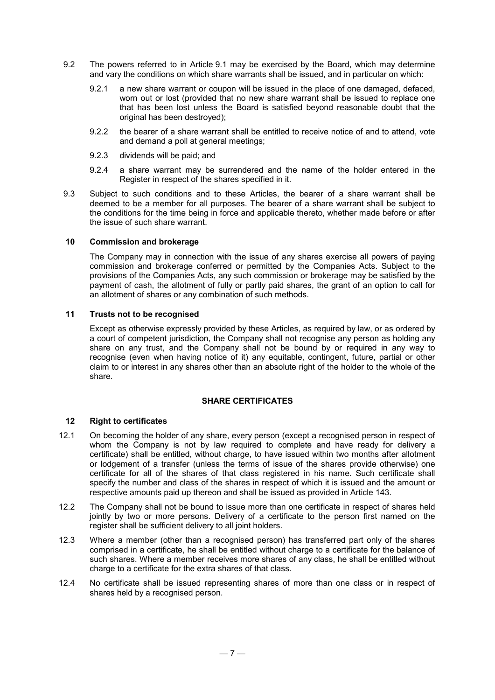- 9.2 The powers referred to in Article 9.1 may be exercised by the Board, which may determine and vary the conditions on which share warrants shall be issued, and in particular on which:
	- 9.2.1 a new share warrant or coupon will be issued in the place of one damaged, defaced, worn out or lost (provided that no new share warrant shall be issued to replace one that has been lost unless the Board is satisfied beyond reasonable doubt that the original has been destroyed);
	- 9.2.2 the bearer of a share warrant shall be entitled to receive notice of and to attend, vote and demand a poll at general meetings;
	- 9.2.3 dividends will be paid; and
	- 9.2.4 a share warrant may be surrendered and the name of the holder entered in the Register in respect of the shares specified in it.
- 9.3 Subject to such conditions and to these Articles, the bearer of a share warrant shall be deemed to be a member for all purposes. The bearer of a share warrant shall be subject to the conditions for the time being in force and applicable thereto, whether made before or after the issue of such share warrant.

## **10 Commission and brokerage**

The Company may in connection with the issue of any shares exercise all powers of paying commission and brokerage conferred or permitted by the Companies Acts. Subject to the provisions of the Companies Acts, any such commission or brokerage may be satisfied by the payment of cash, the allotment of fully or partly paid shares, the grant of an option to call for an allotment of shares or any combination of such methods.

#### **11 Trusts not to be recognised**

Except as otherwise expressly provided by these Articles, as required by law, or as ordered by a court of competent jurisdiction, the Company shall not recognise any person as holding any share on any trust, and the Company shall not be bound by or required in any way to recognise (even when having notice of it) any equitable, contingent, future, partial or other claim to or interest in any shares other than an absolute right of the holder to the whole of the share.

#### **SHARE CERTIFICATES**

## **12 Right to certificates**

- 12.1 On becoming the holder of any share, every person (except a recognised person in respect of whom the Company is not by law required to complete and have ready for delivery a certificate) shall be entitled, without charge, to have issued within two months after allotment or lodgement of a transfer (unless the terms of issue of the shares provide otherwise) one certificate for all of the shares of that class registered in his name. Such certificate shall specify the number and class of the shares in respect of which it is issued and the amount or respective amounts paid up thereon and shall be issued as provided in Article 143.
- 12.2 The Company shall not be bound to issue more than one certificate in respect of shares held jointly by two or more persons. Delivery of a certificate to the person first named on the register shall be sufficient delivery to all joint holders.
- 12.3 Where a member (other than a recognised person) has transferred part only of the shares comprised in a certificate, he shall be entitled without charge to a certificate for the balance of such shares. Where a member receives more shares of any class, he shall be entitled without charge to a certificate for the extra shares of that class.
- 12.4 No certificate shall be issued representing shares of more than one class or in respect of shares held by a recognised person.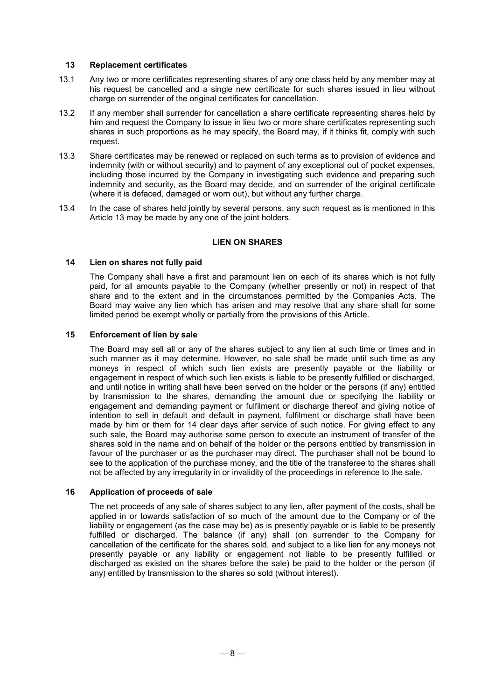## **13 Replacement certificates**

- 13.1 Any two or more certificates representing shares of any one class held by any member may at his request be cancelled and a single new certificate for such shares issued in lieu without charge on surrender of the original certificates for cancellation.
- 13.2 If any member shall surrender for cancellation a share certificate representing shares held by him and request the Company to issue in lieu two or more share certificates representing such shares in such proportions as he may specify, the Board may, if it thinks fit, comply with such request.
- 13.3 Share certificates may be renewed or replaced on such terms as to provision of evidence and indemnity (with or without security) and to payment of any exceptional out of pocket expenses, including those incurred by the Company in investigating such evidence and preparing such indemnity and security, as the Board may decide, and on surrender of the original certificate (where it is defaced, damaged or worn out), but without any further charge.
- 13.4 In the case of shares held jointly by several persons, any such request as is mentioned in this Article 13 may be made by any one of the joint holders.

#### **LIEN ON SHARES**

#### **14 Lien on shares not fully paid**

The Company shall have a first and paramount lien on each of its shares which is not fully paid, for all amounts payable to the Company (whether presently or not) in respect of that share and to the extent and in the circumstances permitted by the Companies Acts. The Board may waive any lien which has arisen and may resolve that any share shall for some limited period be exempt wholly or partially from the provisions of this Article.

#### **15 Enforcement of lien by sale**

The Board may sell all or any of the shares subject to any lien at such time or times and in such manner as it may determine. However, no sale shall be made until such time as any moneys in respect of which such lien exists are presently payable or the liability or engagement in respect of which such lien exists is liable to be presently fulfilled or discharged, and until notice in writing shall have been served on the holder or the persons (if any) entitled by transmission to the shares, demanding the amount due or specifying the liability or engagement and demanding payment or fulfilment or discharge thereof and giving notice of intention to sell in default and default in payment, fulfilment or discharge shall have been made by him or them for 14 clear days after service of such notice. For giving effect to any such sale, the Board may authorise some person to execute an instrument of transfer of the shares sold in the name and on behalf of the holder or the persons entitled by transmission in favour of the purchaser or as the purchaser may direct. The purchaser shall not be bound to see to the application of the purchase money, and the title of the transferee to the shares shall not be affected by any irregularity in or invalidity of the proceedings in reference to the sale.

#### **16 Application of proceeds of sale**

The net proceeds of any sale of shares subject to any lien, after payment of the costs, shall be applied in or towards satisfaction of so much of the amount due to the Company or of the liability or engagement (as the case may be) as is presently payable or is liable to be presently fulfilled or discharged. The balance (if any) shall (on surrender to the Company for cancellation of the certificate for the shares sold, and subject to a like lien for any moneys not presently payable or any liability or engagement not liable to be presently fulfilled or discharged as existed on the shares before the sale) be paid to the holder or the person (if any) entitled by transmission to the shares so sold (without interest).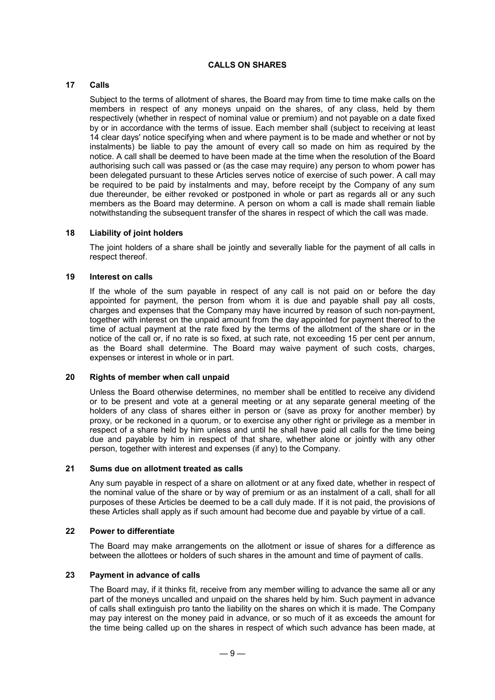## **CALLS ON SHARES**

## **17 Calls**

Subject to the terms of allotment of shares, the Board may from time to time make calls on the members in respect of any moneys unpaid on the shares, of any class, held by them respectively (whether in respect of nominal value or premium) and not payable on a date fixed by or in accordance with the terms of issue. Each member shall (subject to receiving at least 14 clear days' notice specifying when and where payment is to be made and whether or not by instalments) be liable to pay the amount of every call so made on him as required by the notice. A call shall be deemed to have been made at the time when the resolution of the Board authorising such call was passed or (as the case may require) any person to whom power has been delegated pursuant to these Articles serves notice of exercise of such power. A call may be required to be paid by instalments and may, before receipt by the Company of any sum due thereunder, be either revoked or postponed in whole or part as regards all or any such members as the Board may determine. A person on whom a call is made shall remain liable notwithstanding the subsequent transfer of the shares in respect of which the call was made.

#### **18 Liability of joint holders**

The joint holders of a share shall be jointly and severally liable for the payment of all calls in respect thereof.

#### **19 Interest on calls**

If the whole of the sum payable in respect of any call is not paid on or before the day appointed for payment, the person from whom it is due and payable shall pay all costs, charges and expenses that the Company may have incurred by reason of such non-payment, together with interest on the unpaid amount from the day appointed for payment thereof to the time of actual payment at the rate fixed by the terms of the allotment of the share or in the notice of the call or, if no rate is so fixed, at such rate, not exceeding 15 per cent per annum, as the Board shall determine. The Board may waive payment of such costs, charges, expenses or interest in whole or in part.

#### **20 Rights of member when call unpaid**

Unless the Board otherwise determines, no member shall be entitled to receive any dividend or to be present and vote at a general meeting or at any separate general meeting of the holders of any class of shares either in person or (save as proxy for another member) by proxy, or be reckoned in a quorum, or to exercise any other right or privilege as a member in respect of a share held by him unless and until he shall have paid all calls for the time being due and payable by him in respect of that share, whether alone or jointly with any other person, together with interest and expenses (if any) to the Company.

#### **21 Sums due on allotment treated as calls**

Any sum payable in respect of a share on allotment or at any fixed date, whether in respect of the nominal value of the share or by way of premium or as an instalment of a call, shall for all purposes of these Articles be deemed to be a call duly made. If it is not paid, the provisions of these Articles shall apply as if such amount had become due and payable by virtue of a call.

#### **22 Power to differentiate**

The Board may make arrangements on the allotment or issue of shares for a difference as between the allottees or holders of such shares in the amount and time of payment of calls.

#### **23 Payment in advance of calls**

The Board may, if it thinks fit, receive from any member willing to advance the same all or any part of the moneys uncalled and unpaid on the shares held by him. Such payment in advance of calls shall extinguish pro tanto the liability on the shares on which it is made. The Company may pay interest on the money paid in advance, or so much of it as exceeds the amount for the time being called up on the shares in respect of which such advance has been made, at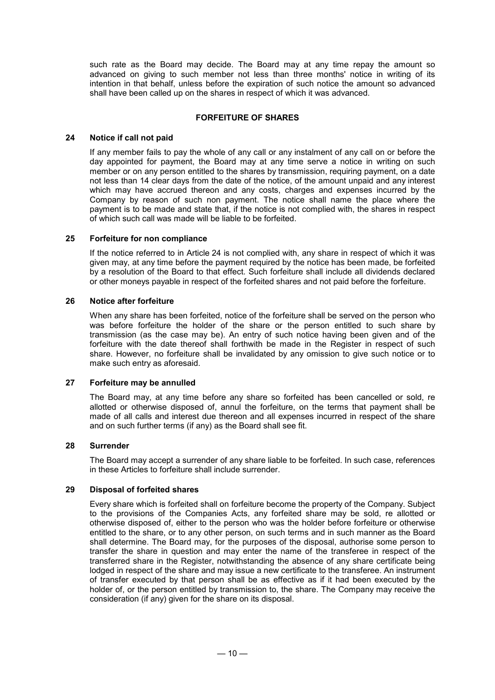such rate as the Board may decide. The Board may at any time repay the amount so advanced on giving to such member not less than three months' notice in writing of its intention in that behalf, unless before the expiration of such notice the amount so advanced shall have been called up on the shares in respect of which it was advanced.

## **FORFEITURE OF SHARES**

#### **24 Notice if call not paid**

If any member fails to pay the whole of any call or any instalment of any call on or before the day appointed for payment, the Board may at any time serve a notice in writing on such member or on any person entitled to the shares by transmission, requiring payment, on a date not less than 14 clear days from the date of the notice, of the amount unpaid and any interest which may have accrued thereon and any costs, charges and expenses incurred by the Company by reason of such non payment. The notice shall name the place where the payment is to be made and state that, if the notice is not complied with, the shares in respect of which such call was made will be liable to be forfeited.

#### **25 Forfeiture for non compliance**

If the notice referred to in Article 24 is not complied with, any share in respect of which it was given may, at any time before the payment required by the notice has been made, be forfeited by a resolution of the Board to that effect. Such forfeiture shall include all dividends declared or other moneys payable in respect of the forfeited shares and not paid before the forfeiture.

#### **26 Notice after forfeiture**

When any share has been forfeited, notice of the forfeiture shall be served on the person who was before forfeiture the holder of the share or the person entitled to such share by transmission (as the case may be). An entry of such notice having been given and of the forfeiture with the date thereof shall forthwith be made in the Register in respect of such share. However, no forfeiture shall be invalidated by any omission to give such notice or to make such entry as aforesaid.

#### **27 Forfeiture may be annulled**

The Board may, at any time before any share so forfeited has been cancelled or sold, re allotted or otherwise disposed of, annul the forfeiture, on the terms that payment shall be made of all calls and interest due thereon and all expenses incurred in respect of the share and on such further terms (if any) as the Board shall see fit.

#### **28 Surrender**

The Board may accept a surrender of any share liable to be forfeited. In such case, references in these Articles to forfeiture shall include surrender.

#### **29 Disposal of forfeited shares**

Every share which is forfeited shall on forfeiture become the property of the Company. Subject to the provisions of the Companies Acts, any forfeited share may be sold, re allotted or otherwise disposed of, either to the person who was the holder before forfeiture or otherwise entitled to the share, or to any other person, on such terms and in such manner as the Board shall determine. The Board may, for the purposes of the disposal, authorise some person to transfer the share in question and may enter the name of the transferee in respect of the transferred share in the Register, notwithstanding the absence of any share certificate being lodged in respect of the share and may issue a new certificate to the transferee. An instrument of transfer executed by that person shall be as effective as if it had been executed by the holder of, or the person entitled by transmission to, the share. The Company may receive the consideration (if any) given for the share on its disposal.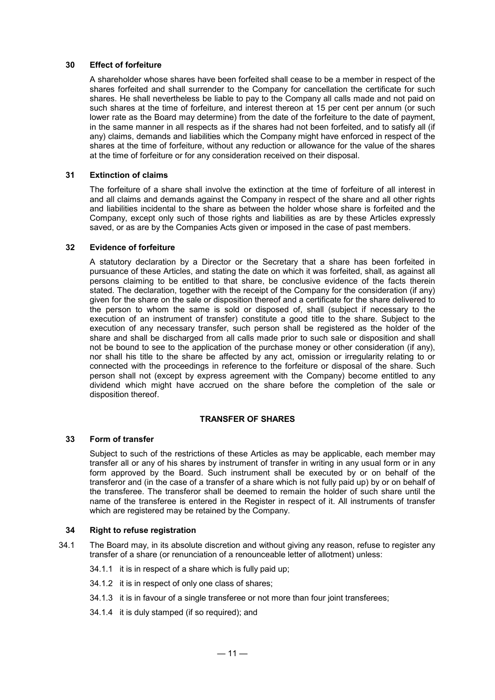#### **30 Effect of forfeiture**

A shareholder whose shares have been forfeited shall cease to be a member in respect of the shares forfeited and shall surrender to the Company for cancellation the certificate for such shares. He shall nevertheless be liable to pay to the Company all calls made and not paid on such shares at the time of forfeiture, and interest thereon at 15 per cent per annum (or such lower rate as the Board may determine) from the date of the forfeiture to the date of payment, in the same manner in all respects as if the shares had not been forfeited, and to satisfy all (if any) claims, demands and liabilities which the Company might have enforced in respect of the shares at the time of forfeiture, without any reduction or allowance for the value of the shares at the time of forfeiture or for any consideration received on their disposal.

#### **31 Extinction of claims**

The forfeiture of a share shall involve the extinction at the time of forfeiture of all interest in and all claims and demands against the Company in respect of the share and all other rights and liabilities incidental to the share as between the holder whose share is forfeited and the Company, except only such of those rights and liabilities as are by these Articles expressly saved, or as are by the Companies Acts given or imposed in the case of past members.

#### **32 Evidence of forfeiture**

A statutory declaration by a Director or the Secretary that a share has been forfeited in pursuance of these Articles, and stating the date on which it was forfeited, shall, as against all persons claiming to be entitled to that share, be conclusive evidence of the facts therein stated. The declaration, together with the receipt of the Company for the consideration (if any) given for the share on the sale or disposition thereof and a certificate for the share delivered to the person to whom the same is sold or disposed of, shall (subject if necessary to the execution of an instrument of transfer) constitute a good title to the share. Subject to the execution of any necessary transfer, such person shall be registered as the holder of the share and shall be discharged from all calls made prior to such sale or disposition and shall not be bound to see to the application of the purchase money or other consideration (if any), nor shall his title to the share be affected by any act, omission or irregularity relating to or connected with the proceedings in reference to the forfeiture or disposal of the share. Such person shall not (except by express agreement with the Company) become entitled to any dividend which might have accrued on the share before the completion of the sale or disposition thereof.

## **TRANSFER OF SHARES**

## **33 Form of transfer**

Subject to such of the restrictions of these Articles as may be applicable, each member may transfer all or any of his shares by instrument of transfer in writing in any usual form or in any form approved by the Board. Such instrument shall be executed by or on behalf of the transferor and (in the case of a transfer of a share which is not fully paid up) by or on behalf of the transferee. The transferor shall be deemed to remain the holder of such share until the name of the transferee is entered in the Register in respect of it. All instruments of transfer which are registered may be retained by the Company.

## **34 Right to refuse registration**

- 34.1 The Board may, in its absolute discretion and without giving any reason, refuse to register any transfer of a share (or renunciation of a renounceable letter of allotment) unless:
	- 34.1.1 it is in respect of a share which is fully paid up;
	- 34.1.2 it is in respect of only one class of shares;
	- 34.1.3 it is in favour of a single transferee or not more than four joint transferees;
	- 34.1.4 it is duly stamped (if so required); and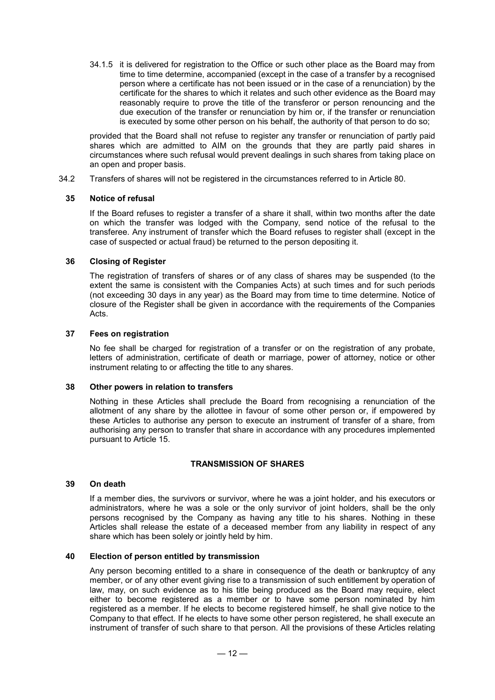34.1.5 it is delivered for registration to the Office or such other place as the Board may from time to time determine, accompanied (except in the case of a transfer by a recognised person where a certificate has not been issued or in the case of a renunciation) by the certificate for the shares to which it relates and such other evidence as the Board may reasonably require to prove the title of the transferor or person renouncing and the due execution of the transfer or renunciation by him or, if the transfer or renunciation is executed by some other person on his behalf, the authority of that person to do so;

provided that the Board shall not refuse to register any transfer or renunciation of partly paid shares which are admitted to AIM on the grounds that they are partly paid shares in circumstances where such refusal would prevent dealings in such shares from taking place on an open and proper basis.

34.2 Transfers of shares will not be registered in the circumstances referred to in Article 80.

#### **35 Notice of refusal**

If the Board refuses to register a transfer of a share it shall, within two months after the date on which the transfer was lodged with the Company, send notice of the refusal to the transferee. Any instrument of transfer which the Board refuses to register shall (except in the case of suspected or actual fraud) be returned to the person depositing it.

#### **36 Closing of Register**

The registration of transfers of shares or of any class of shares may be suspended (to the extent the same is consistent with the Companies Acts) at such times and for such periods (not exceeding 30 days in any year) as the Board may from time to time determine. Notice of closure of the Register shall be given in accordance with the requirements of the Companies Acts.

#### **37 Fees on registration**

No fee shall be charged for registration of a transfer or on the registration of any probate. letters of administration, certificate of death or marriage, power of attorney, notice or other instrument relating to or affecting the title to any shares.

#### **38 Other powers in relation to transfers**

Nothing in these Articles shall preclude the Board from recognising a renunciation of the allotment of any share by the allottee in favour of some other person or, if empowered by these Articles to authorise any person to execute an instrument of transfer of a share, from authorising any person to transfer that share in accordance with any procedures implemented pursuant to Article 15.

#### **TRANSMISSION OF SHARES**

#### **39 On death**

If a member dies, the survivors or survivor, where he was a joint holder, and his executors or administrators, where he was a sole or the only survivor of joint holders, shall be the only persons recognised by the Company as having any title to his shares. Nothing in these Articles shall release the estate of a deceased member from any liability in respect of any share which has been solely or jointly held by him.

#### **40 Election of person entitled by transmission**

Any person becoming entitled to a share in consequence of the death or bankruptcy of any member, or of any other event giving rise to a transmission of such entitlement by operation of law, may, on such evidence as to his title being produced as the Board may require, elect either to become registered as a member or to have some person nominated by him registered as a member. If he elects to become registered himself, he shall give notice to the Company to that effect. If he elects to have some other person registered, he shall execute an instrument of transfer of such share to that person. All the provisions of these Articles relating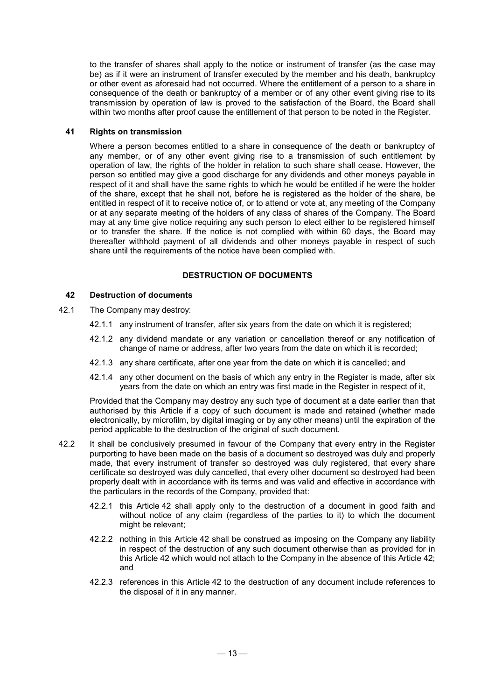to the transfer of shares shall apply to the notice or instrument of transfer (as the case may be) as if it were an instrument of transfer executed by the member and his death, bankruptcy or other event as aforesaid had not occurred. Where the entitlement of a person to a share in consequence of the death or bankruptcy of a member or of any other event giving rise to its transmission by operation of law is proved to the satisfaction of the Board, the Board shall within two months after proof cause the entitlement of that person to be noted in the Register.

## **41 Rights on transmission**

Where a person becomes entitled to a share in consequence of the death or bankruptcy of any member, or of any other event giving rise to a transmission of such entitlement by operation of law, the rights of the holder in relation to such share shall cease. However, the person so entitled may give a good discharge for any dividends and other moneys payable in respect of it and shall have the same rights to which he would be entitled if he were the holder of the share, except that he shall not, before he is registered as the holder of the share, be entitled in respect of it to receive notice of, or to attend or vote at, any meeting of the Company or at any separate meeting of the holders of any class of shares of the Company. The Board may at any time give notice requiring any such person to elect either to be registered himself or to transfer the share. If the notice is not complied with within 60 days, the Board may thereafter withhold payment of all dividends and other moneys payable in respect of such share until the requirements of the notice have been complied with.

## **DESTRUCTION OF DOCUMENTS**

## **42 Destruction of documents**

- 42.1 The Company may destroy:
	- 42.1.1 any instrument of transfer, after six years from the date on which it is registered;
	- 42.1.2 any dividend mandate or any variation or cancellation thereof or any notification of change of name or address, after two years from the date on which it is recorded;
	- 42.1.3 any share certificate, after one year from the date on which it is cancelled; and
	- 42.1.4 any other document on the basis of which any entry in the Register is made, after six years from the date on which an entry was first made in the Register in respect of it,

Provided that the Company may destroy any such type of document at a date earlier than that authorised by this Article if a copy of such document is made and retained (whether made electronically, by microfilm, by digital imaging or by any other means) until the expiration of the period applicable to the destruction of the original of such document.

- 42.2 It shall be conclusively presumed in favour of the Company that every entry in the Register purporting to have been made on the basis of a document so destroyed was duly and properly made, that every instrument of transfer so destroyed was duly registered, that every share certificate so destroyed was duly cancelled, that every other document so destroyed had been properly dealt with in accordance with its terms and was valid and effective in accordance with the particulars in the records of the Company, provided that:
	- 42.2.1 this Article 42 shall apply only to the destruction of a document in good faith and without notice of any claim (regardless of the parties to it) to which the document might be relevant;
	- 42.2.2 nothing in this Article 42 shall be construed as imposing on the Company any liability in respect of the destruction of any such document otherwise than as provided for in this Article 42 which would not attach to the Company in the absence of this Article 42; and
	- 42.2.3 references in this Article 42 to the destruction of any document include references to the disposal of it in any manner.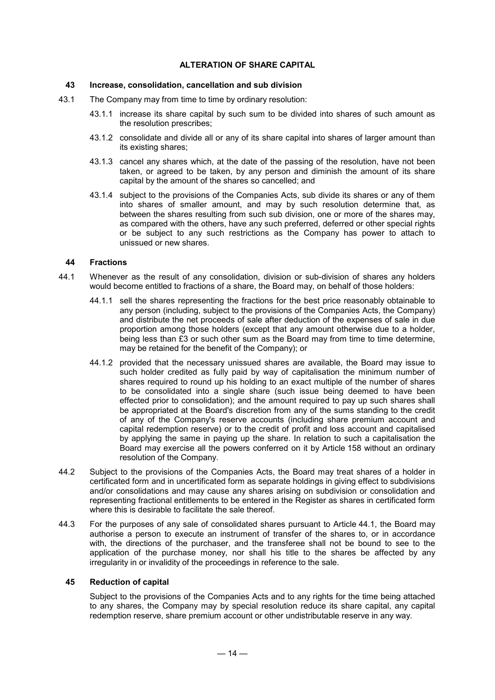## **ALTERATION OF SHARE CAPITAL**

#### **43 Increase, consolidation, cancellation and sub division**

- 43.1 The Company may from time to time by ordinary resolution:
	- 43.1.1 increase its share capital by such sum to be divided into shares of such amount as the resolution prescribes;
	- 43.1.2 consolidate and divide all or any of its share capital into shares of larger amount than its existing shares;
	- 43.1.3 cancel any shares which, at the date of the passing of the resolution, have not been taken, or agreed to be taken, by any person and diminish the amount of its share capital by the amount of the shares so cancelled; and
	- 43.1.4 subject to the provisions of the Companies Acts, sub divide its shares or any of them into shares of smaller amount, and may by such resolution determine that, as between the shares resulting from such sub division, one or more of the shares may, as compared with the others, have any such preferred, deferred or other special rights or be subject to any such restrictions as the Company has power to attach to unissued or new shares.

#### **44 Fractions**

- 44.1 Whenever as the result of any consolidation, division or sub-division of shares any holders would become entitled to fractions of a share, the Board may, on behalf of those holders:
	- 44.1.1 sell the shares representing the fractions for the best price reasonably obtainable to any person (including, subject to the provisions of the Companies Acts, the Company) and distribute the net proceeds of sale after deduction of the expenses of sale in due proportion among those holders (except that any amount otherwise due to a holder, being less than £3 or such other sum as the Board may from time to time determine, may be retained for the benefit of the Company); or
	- 44.1.2 provided that the necessary unissued shares are available, the Board may issue to such holder credited as fully paid by way of capitalisation the minimum number of shares required to round up his holding to an exact multiple of the number of shares to be consolidated into a single share (such issue being deemed to have been effected prior to consolidation); and the amount required to pay up such shares shall be appropriated at the Board's discretion from any of the sums standing to the credit of any of the Company's reserve accounts (including share premium account and capital redemption reserve) or to the credit of profit and loss account and capitalised by applying the same in paying up the share. In relation to such a capitalisation the Board may exercise all the powers conferred on it by Article 158 without an ordinary resolution of the Company.
- 44.2 Subject to the provisions of the Companies Acts, the Board may treat shares of a holder in certificated form and in uncertificated form as separate holdings in giving effect to subdivisions and/or consolidations and may cause any shares arising on subdivision or consolidation and representing fractional entitlements to be entered in the Register as shares in certificated form where this is desirable to facilitate the sale thereof.
- 44.3 For the purposes of any sale of consolidated shares pursuant to Article 44.1, the Board may authorise a person to execute an instrument of transfer of the shares to, or in accordance with, the directions of the purchaser, and the transferee shall not be bound to see to the application of the purchase money, nor shall his title to the shares be affected by any irregularity in or invalidity of the proceedings in reference to the sale.

## **45 Reduction of capital**

Subject to the provisions of the Companies Acts and to any rights for the time being attached to any shares, the Company may by special resolution reduce its share capital, any capital redemption reserve, share premium account or other undistributable reserve in any way.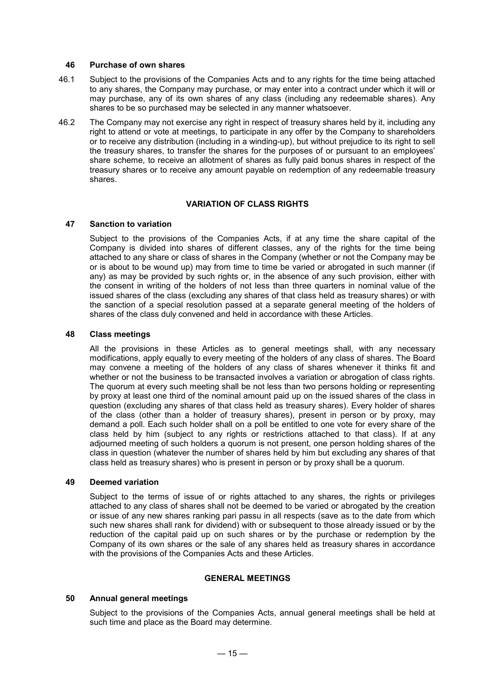#### **46 Purchase of own shares**

- 46.1 Subject to the provisions of the Companies Acts and to any rights for the time being attached to any shares, the Company may purchase, or may enter into a contract under which it will or may purchase, any of its own shares of any class (including any redeemable shares). Any shares to be so purchased may be selected in any manner whatsoever.
- 46.2 The Company may not exercise any right in respect of treasury shares held by it, including any right to attend or vote at meetings, to participate in any offer by the Company to shareholders or to receive any distribution (including in a winding-up), but without prejudice to its right to sell the treasury shares, to transfer the shares for the purposes of or pursuant to an employees' share scheme, to receive an allotment of shares as fully paid bonus shares in respect of the treasury shares or to receive any amount payable on redemption of any redeemable treasury shares.

#### **VARIATION OF CLASS RIGHTS**

#### **47 Sanction to variation**

Subject to the provisions of the Companies Acts, if at any time the share capital of the Company is divided into shares of different classes, any of the rights for the time being attached to any share or class of shares in the Company (whether or not the Company may be or is about to be wound up) may from time to time be varied or abrogated in such manner (if any) as may be provided by such rights or, in the absence of any such provision, either with the consent in writing of the holders of not less than three quarters in nominal value of the issued shares of the class (excluding any shares of that class held as treasury shares) or with the sanction of a special resolution passed at a separate general meeting of the holders of shares of the class duly convened and held in accordance with these Articles.

#### **48 Class meetings**

All the provisions in these Articles as to general meetings shall, with any necessary modifications, apply equally to every meeting of the holders of any class of shares. The Board may convene a meeting of the holders of any class of shares whenever it thinks fit and whether or not the business to be transacted involves a variation or abrogation of class rights. The quorum at every such meeting shall be not less than two persons holding or representing by proxy at least one third of the nominal amount paid up on the issued shares of the class in question (excluding any shares of that class held as treasury shares). Every holder of shares of the class (other than a holder of treasury shares), present in person or by proxy, may demand a poll. Each such holder shall on a poll be entitled to one vote for every share of the class held by him (subject to any rights or restrictions attached to that class). If at any adjourned meeting of such holders a quorum is not present, one person holding shares of the class in question (whatever the number of shares held by him but excluding any shares of that class held as treasury shares) who is present in person or by proxy shall be a quorum.

#### **49 Deemed variation**

Subject to the terms of issue of or rights attached to any shares, the rights or privileges attached to any class of shares shall not be deemed to be varied or abrogated by the creation or issue of any new shares ranking pari passu in all respects (save as to the date from which such new shares shall rank for dividend) with or subsequent to those already issued or by the reduction of the capital paid up on such shares or by the purchase or redemption by the Company of its own shares or the sale of any shares held as treasury shares in accordance with the provisions of the Companies Acts and these Articles.

#### **GENERAL MEETINGS**

#### **50 Annual general meetings**

Subject to the provisions of the Companies Acts, annual general meetings shall be held at such time and place as the Board may determine.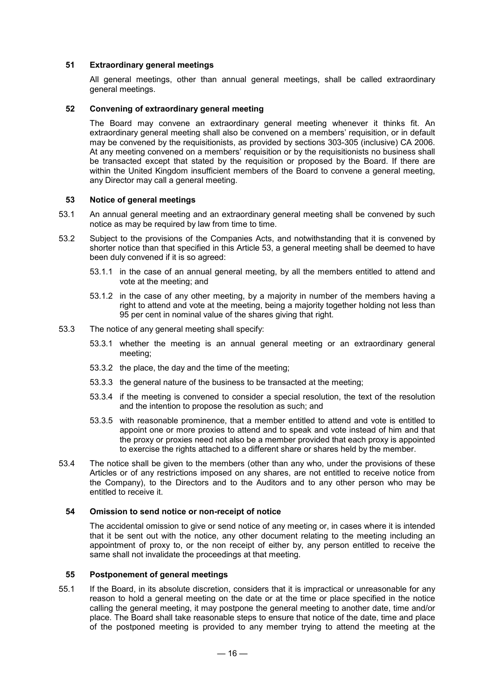## **51 Extraordinary general meetings**

All general meetings, other than annual general meetings, shall be called extraordinary general meetings.

## **52 Convening of extraordinary general meeting**

The Board may convene an extraordinary general meeting whenever it thinks fit. An extraordinary general meeting shall also be convened on a members' requisition, or in default may be convened by the requisitionists, as provided by sections 303-305 (inclusive) CA 2006. At any meeting convened on a members' requisition or by the requisitionists no business shall be transacted except that stated by the requisition or proposed by the Board. If there are within the United Kingdom insufficient members of the Board to convene a general meeting, any Director may call a general meeting.

#### **53 Notice of general meetings**

- 53.1 An annual general meeting and an extraordinary general meeting shall be convened by such notice as may be required by law from time to time.
- 53.2 Subject to the provisions of the Companies Acts, and notwithstanding that it is convened by shorter notice than that specified in this Article 53, a general meeting shall be deemed to have been duly convened if it is so agreed:
	- 53.1.1 in the case of an annual general meeting, by all the members entitled to attend and vote at the meeting; and
	- 53.1.2 in the case of any other meeting, by a majority in number of the members having a right to attend and vote at the meeting, being a majority together holding not less than 95 per cent in nominal value of the shares giving that right.
- 53.3 The notice of any general meeting shall specify:
	- 53.3.1 whether the meeting is an annual general meeting or an extraordinary general meeting;
	- 53.3.2 the place, the day and the time of the meeting;
	- 53.3.3 the general nature of the business to be transacted at the meeting;
	- 53.3.4 if the meeting is convened to consider a special resolution, the text of the resolution and the intention to propose the resolution as such; and
	- 53.3.5 with reasonable prominence, that a member entitled to attend and vote is entitled to appoint one or more proxies to attend and to speak and vote instead of him and that the proxy or proxies need not also be a member provided that each proxy is appointed to exercise the rights attached to a different share or shares held by the member.
- 53.4 The notice shall be given to the members (other than any who, under the provisions of these Articles or of any restrictions imposed on any shares, are not entitled to receive notice from the Company), to the Directors and to the Auditors and to any other person who may be entitled to receive it.

#### **54 Omission to send notice or non-receipt of notice**

The accidental omission to give or send notice of any meeting or, in cases where it is intended that it be sent out with the notice, any other document relating to the meeting including an appointment of proxy to, or the non receipt of either by, any person entitled to receive the same shall not invalidate the proceedings at that meeting.

#### **55 Postponement of general meetings**

55.1 If the Board, in its absolute discretion, considers that it is impractical or unreasonable for any reason to hold a general meeting on the date or at the time or place specified in the notice calling the general meeting, it may postpone the general meeting to another date, time and/or place. The Board shall take reasonable steps to ensure that notice of the date, time and place of the postponed meeting is provided to any member trying to attend the meeting at the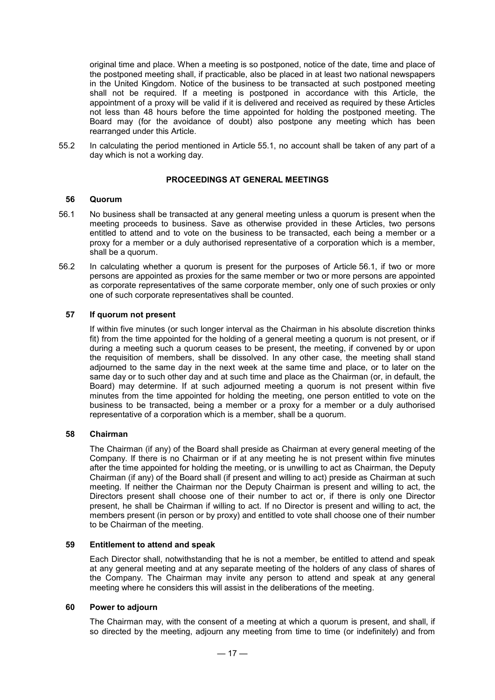original time and place. When a meeting is so postponed, notice of the date, time and place of the postponed meeting shall, if practicable, also be placed in at least two national newspapers in the United Kingdom. Notice of the business to be transacted at such postponed meeting shall not be required. If a meeting is postponed in accordance with this Article, the appointment of a proxy will be valid if it is delivered and received as required by these Articles not less than 48 hours before the time appointed for holding the postponed meeting. The Board may (for the avoidance of doubt) also postpone any meeting which has been rearranged under this Article.

55.2 In calculating the period mentioned in Article 55.1, no account shall be taken of any part of a day which is not a working day.

## **PROCEEDINGS AT GENERAL MEETINGS**

#### **56 Quorum**

- 56.1 No business shall be transacted at any general meeting unless a quorum is present when the meeting proceeds to business. Save as otherwise provided in these Articles, two persons entitled to attend and to vote on the business to be transacted, each being a member or a proxy for a member or a duly authorised representative of a corporation which is a member, shall be a quorum.
- 56.2 In calculating whether a quorum is present for the purposes of Article 56.1, if two or more persons are appointed as proxies for the same member or two or more persons are appointed as corporate representatives of the same corporate member, only one of such proxies or only one of such corporate representatives shall be counted.

#### **57 If quorum not present**

If within five minutes (or such longer interval as the Chairman in his absolute discretion thinks fit) from the time appointed for the holding of a general meeting a quorum is not present, or if during a meeting such a quorum ceases to be present, the meeting, if convened by or upon the requisition of members, shall be dissolved. In any other case, the meeting shall stand adjourned to the same day in the next week at the same time and place, or to later on the same day or to such other day and at such time and place as the Chairman (or, in default, the Board) may determine. If at such adjourned meeting a quorum is not present within five minutes from the time appointed for holding the meeting, one person entitled to vote on the business to be transacted, being a member or a proxy for a member or a duly authorised representative of a corporation which is a member, shall be a quorum.

#### **58 Chairman**

The Chairman (if any) of the Board shall preside as Chairman at every general meeting of the Company. If there is no Chairman or if at any meeting he is not present within five minutes after the time appointed for holding the meeting, or is unwilling to act as Chairman, the Deputy Chairman (if any) of the Board shall (if present and willing to act) preside as Chairman at such meeting. If neither the Chairman nor the Deputy Chairman is present and willing to act, the Directors present shall choose one of their number to act or, if there is only one Director present, he shall be Chairman if willing to act. If no Director is present and willing to act, the members present (in person or by proxy) and entitled to vote shall choose one of their number to be Chairman of the meeting.

#### **59 Entitlement to attend and speak**

Each Director shall, notwithstanding that he is not a member, be entitled to attend and speak at any general meeting and at any separate meeting of the holders of any class of shares of the Company. The Chairman may invite any person to attend and speak at any general meeting where he considers this will assist in the deliberations of the meeting.

#### **60 Power to adjourn**

The Chairman may, with the consent of a meeting at which a quorum is present, and shall, if so directed by the meeting, adjourn any meeting from time to time (or indefinitely) and from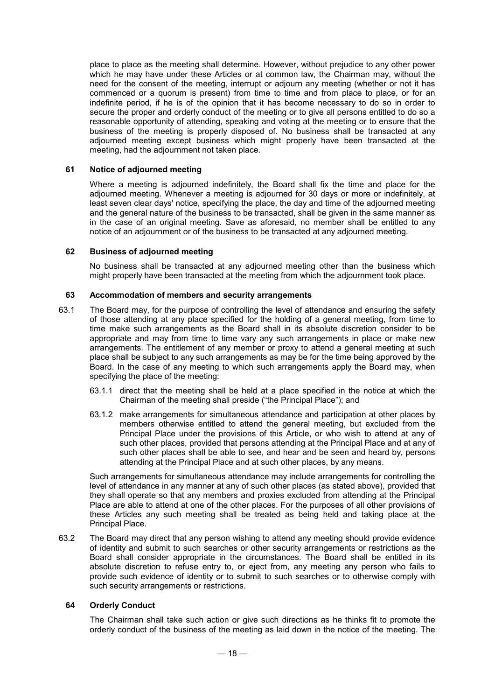place to place as the meeting shall determine. However, without prejudice to any other power which he may have under these Articles or at common law, the Chairman may, without the need for the consent of the meeting, interrupt or adjourn any meeting (whether or not it has commenced or a quorum is present) from time to time and from place to place, or for an indefinite period, if he is of the opinion that it has become necessary to do so in order to secure the proper and orderly conduct of the meeting or to give all persons entitled to do so a reasonable opportunity of attending, speaking and voting at the meeting or to ensure that the business of the meeting is properly disposed of. No business shall be transacted at any adjourned meeting except business which might properly have been transacted at the meeting, had the adjournment not taken place.

## **61 Notice of adjourned meeting**

Where a meeting is adjourned indefinitely, the Board shall fix the time and place for the adjourned meeting. Whenever a meeting is adjourned for 30 days or more or indefinitely, at least seven clear days' notice, specifying the place, the day and time of the adjourned meeting and the general nature of the business to be transacted, shall be given in the same manner as in the case of an original meeting. Save as aforesaid, no member shall be entitled to any notice of an adjournment or of the business to be transacted at any adjourned meeting.

## **62 Business of adjourned meeting**

No business shall be transacted at any adjourned meeting other than the business which might properly have been transacted at the meeting from which the adjournment took place.

## **63 Accommodation of members and security arrangements**

- 63.1 The Board may, for the purpose of controlling the level of attendance and ensuring the safety of those attending at any place specified for the holding of a general meeting, from time to time make such arrangements as the Board shall in its absolute discretion consider to be appropriate and may from time to time vary any such arrangements in place or make new arrangements. The entitlement of any member or proxy to attend a general meeting at such place shall be subject to any such arrangements as may be for the time being approved by the Board. In the case of any meeting to which such arrangements apply the Board may, when specifying the place of the meeting:
	- 63.1.1 direct that the meeting shall be held at a place specified in the notice at which the Chairman of the meeting shall preside ("the Principal Place"); and
	- 63.1.2 make arrangements for simultaneous attendance and participation at other places by members otherwise entitled to attend the general meeting, but excluded from the Principal Place under the provisions of this Article, or who wish to attend at any of such other places, provided that persons attending at the Principal Place and at any of such other places shall be able to see, and hear and be seen and heard by, persons attending at the Principal Place and at such other places, by any means.

Such arrangements for simultaneous attendance may include arrangements for controlling the level of attendance in any manner at any of such other places (as stated above), provided that they shall operate so that any members and proxies excluded from attending at the Principal Place are able to attend at one of the other places. For the purposes of all other provisions of these Articles any such meeting shall be treated as being held and taking place at the Principal Place.

63.2 The Board may direct that any person wishing to attend any meeting should provide evidence of identity and submit to such searches or other security arrangements or restrictions as the Board shall consider appropriate in the circumstances. The Board shall be entitled in its absolute discretion to refuse entry to, or eject from, any meeting any person who fails to provide such evidence of identity or to submit to such searches or to otherwise comply with such security arrangements or restrictions.

## **64 Orderly Conduct**

The Chairman shall take such action or give such directions as he thinks fit to promote the orderly conduct of the business of the meeting as laid down in the notice of the meeting. The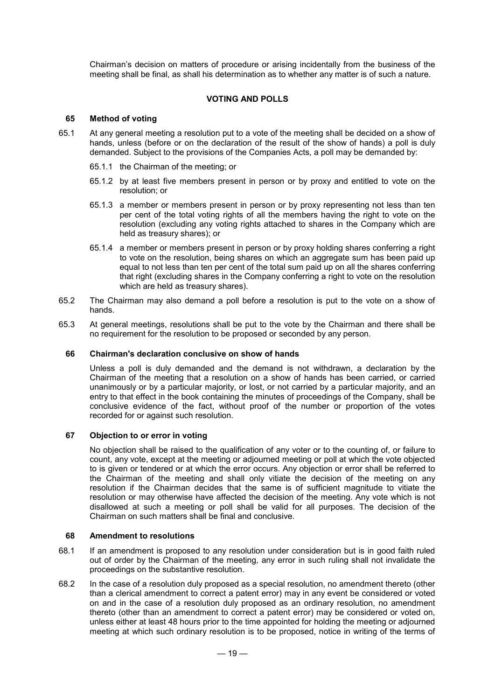Chairman's decision on matters of procedure or arising incidentally from the business of the meeting shall be final, as shall his determination as to whether any matter is of such a nature.

## **VOTING AND POLLS**

## **65 Method of voting**

- 65.1 At any general meeting a resolution put to a vote of the meeting shall be decided on a show of hands, unless (before or on the declaration of the result of the show of hands) a poll is duly demanded. Subject to the provisions of the Companies Acts, a poll may be demanded by:
	- 65.1.1 the Chairman of the meeting; or
	- 65.1.2 by at least five members present in person or by proxy and entitled to vote on the resolution; or
	- 65.1.3 a member or members present in person or by proxy representing not less than ten per cent of the total voting rights of all the members having the right to vote on the resolution (excluding any voting rights attached to shares in the Company which are held as treasury shares); or
	- 65.1.4 a member or members present in person or by proxy holding shares conferring a right to vote on the resolution, being shares on which an aggregate sum has been paid up equal to not less than ten per cent of the total sum paid up on all the shares conferring that right (excluding shares in the Company conferring a right to vote on the resolution which are held as treasury shares).
- 65.2 The Chairman may also demand a poll before a resolution is put to the vote on a show of hands.
- 65.3 At general meetings, resolutions shall be put to the vote by the Chairman and there shall be no requirement for the resolution to be proposed or seconded by any person.

#### **66 Chairman's declaration conclusive on show of hands**

Unless a poll is duly demanded and the demand is not withdrawn, a declaration by the Chairman of the meeting that a resolution on a show of hands has been carried, or carried unanimously or by a particular majority, or lost, or not carried by a particular majority, and an entry to that effect in the book containing the minutes of proceedings of the Company, shall be conclusive evidence of the fact, without proof of the number or proportion of the votes recorded for or against such resolution.

## **67 Objection to or error in voting**

No objection shall be raised to the qualification of any voter or to the counting of, or failure to count, any vote, except at the meeting or adjourned meeting or poll at which the vote objected to is given or tendered or at which the error occurs. Any objection or error shall be referred to the Chairman of the meeting and shall only vitiate the decision of the meeting on any resolution if the Chairman decides that the same is of sufficient magnitude to vitiate the resolution or may otherwise have affected the decision of the meeting. Any vote which is not disallowed at such a meeting or poll shall be valid for all purposes. The decision of the Chairman on such matters shall be final and conclusive.

#### **68 Amendment to resolutions**

- 68.1 If an amendment is proposed to any resolution under consideration but is in good faith ruled out of order by the Chairman of the meeting, any error in such ruling shall not invalidate the proceedings on the substantive resolution.
- 68.2 In the case of a resolution duly proposed as a special resolution, no amendment thereto (other than a clerical amendment to correct a patent error) may in any event be considered or voted on and in the case of a resolution duly proposed as an ordinary resolution, no amendment thereto (other than an amendment to correct a patent error) may be considered or voted on, unless either at least 48 hours prior to the time appointed for holding the meeting or adjourned meeting at which such ordinary resolution is to be proposed, notice in writing of the terms of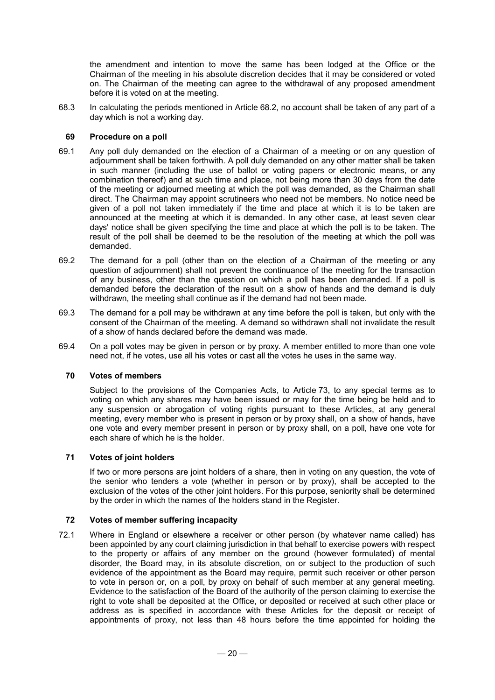the amendment and intention to move the same has been lodged at the Office or the Chairman of the meeting in his absolute discretion decides that it may be considered or voted on. The Chairman of the meeting can agree to the withdrawal of any proposed amendment before it is voted on at the meeting.

68.3 In calculating the periods mentioned in Article 68.2, no account shall be taken of any part of a day which is not a working day.

## **69 Procedure on a poll**

- 69.1 Any poll duly demanded on the election of a Chairman of a meeting or on any question of adjournment shall be taken forthwith. A poll duly demanded on any other matter shall be taken in such manner (including the use of ballot or voting papers or electronic means, or any combination thereof) and at such time and place, not being more than 30 days from the date of the meeting or adjourned meeting at which the poll was demanded, as the Chairman shall direct. The Chairman may appoint scrutineers who need not be members. No notice need be given of a poll not taken immediately if the time and place at which it is to be taken are announced at the meeting at which it is demanded. In any other case, at least seven clear days' notice shall be given specifying the time and place at which the poll is to be taken. The result of the poll shall be deemed to be the resolution of the meeting at which the poll was demanded.
- 69.2 The demand for a poll (other than on the election of a Chairman of the meeting or any question of adjournment) shall not prevent the continuance of the meeting for the transaction of any business, other than the question on which a poll has been demanded. If a poll is demanded before the declaration of the result on a show of hands and the demand is duly withdrawn, the meeting shall continue as if the demand had not been made.
- 69.3 The demand for a poll may be withdrawn at any time before the poll is taken, but only with the consent of the Chairman of the meeting. A demand so withdrawn shall not invalidate the result of a show of hands declared before the demand was made.
- 69.4 On a poll votes may be given in person or by proxy. A member entitled to more than one vote need not, if he votes, use all his votes or cast all the votes he uses in the same way.

#### **70 Votes of members**

Subject to the provisions of the Companies Acts, to Article 73, to any special terms as to voting on which any shares may have been issued or may for the time being be held and to any suspension or abrogation of voting rights pursuant to these Articles, at any general meeting, every member who is present in person or by proxy shall, on a show of hands, have one vote and every member present in person or by proxy shall, on a poll, have one vote for each share of which he is the holder.

#### **71 Votes of joint holders**

If two or more persons are joint holders of a share, then in voting on any question, the vote of the senior who tenders a vote (whether in person or by proxy), shall be accepted to the exclusion of the votes of the other joint holders. For this purpose, seniority shall be determined by the order in which the names of the holders stand in the Register.

#### **72 Votes of member suffering incapacity**

72.1 Where in England or elsewhere a receiver or other person (by whatever name called) has been appointed by any court claiming jurisdiction in that behalf to exercise powers with respect to the property or affairs of any member on the ground (however formulated) of mental disorder, the Board may, in its absolute discretion, on or subject to the production of such evidence of the appointment as the Board may require, permit such receiver or other person to vote in person or, on a poll, by proxy on behalf of such member at any general meeting. Evidence to the satisfaction of the Board of the authority of the person claiming to exercise the right to vote shall be deposited at the Office, or deposited or received at such other place or address as is specified in accordance with these Articles for the deposit or receipt of appointments of proxy, not less than 48 hours before the time appointed for holding the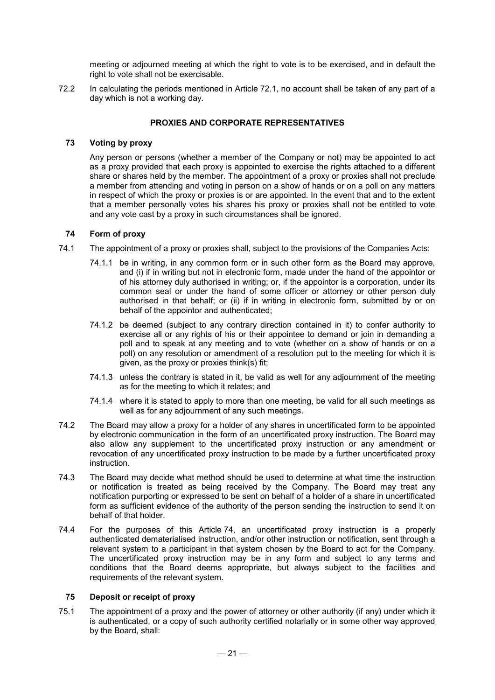meeting or adjourned meeting at which the right to vote is to be exercised, and in default the right to vote shall not be exercisable.

72.2 In calculating the periods mentioned in Article 72.1, no account shall be taken of any part of a day which is not a working day.

## **PROXIES AND CORPORATE REPRESENTATIVES**

## **73 Voting by proxy**

Any person or persons (whether a member of the Company or not) may be appointed to act as a proxy provided that each proxy is appointed to exercise the rights attached to a different share or shares held by the member. The appointment of a proxy or proxies shall not preclude a member from attending and voting in person on a show of hands or on a poll on any matters in respect of which the proxy or proxies is or are appointed. In the event that and to the extent that a member personally votes his shares his proxy or proxies shall not be entitled to vote and any vote cast by a proxy in such circumstances shall be ignored.

## **74 Form of proxy**

- 74.1 The appointment of a proxy or proxies shall, subject to the provisions of the Companies Acts:
	- 74.1.1 be in writing, in any common form or in such other form as the Board may approve, and (i) if in writing but not in electronic form, made under the hand of the appointor or of his attorney duly authorised in writing; or, if the appointor is a corporation, under its common seal or under the hand of some officer or attorney or other person duly authorised in that behalf; or (ii) if in writing in electronic form, submitted by or on behalf of the appointor and authenticated;
	- 74.1.2 be deemed (subject to any contrary direction contained in it) to confer authority to exercise all or any rights of his or their appointee to demand or join in demanding a poll and to speak at any meeting and to vote (whether on a show of hands or on a poll) on any resolution or amendment of a resolution put to the meeting for which it is given, as the proxy or proxies think(s) fit;
	- 74.1.3 unless the contrary is stated in it, be valid as well for any adjournment of the meeting as for the meeting to which it relates; and
	- 74.1.4 where it is stated to apply to more than one meeting, be valid for all such meetings as well as for any adjournment of any such meetings.
- 74.2 The Board may allow a proxy for a holder of any shares in uncertificated form to be appointed by electronic communication in the form of an uncertificated proxy instruction. The Board may also allow any supplement to the uncertificated proxy instruction or any amendment or revocation of any uncertificated proxy instruction to be made by a further uncertificated proxy instruction.
- 74.3 The Board may decide what method should be used to determine at what time the instruction or notification is treated as being received by the Company. The Board may treat any notification purporting or expressed to be sent on behalf of a holder of a share in uncertificated form as sufficient evidence of the authority of the person sending the instruction to send it on behalf of that holder.
- 74.4 For the purposes of this Article 74, an uncertificated proxy instruction is a properly authenticated dematerialised instruction, and/or other instruction or notification, sent through a relevant system to a participant in that system chosen by the Board to act for the Company. The uncertificated proxy instruction may be in any form and subject to any terms and conditions that the Board deems appropriate, but always subject to the facilities and requirements of the relevant system.

## **75 Deposit or receipt of proxy**

75.1 The appointment of a proxy and the power of attorney or other authority (if any) under which it is authenticated, or a copy of such authority certified notarially or in some other way approved by the Board, shall: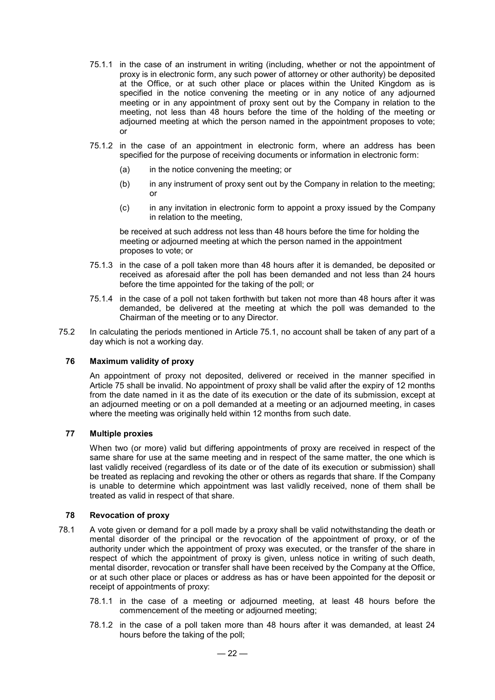- 75.1.1 in the case of an instrument in writing (including, whether or not the appointment of proxy is in electronic form, any such power of attorney or other authority) be deposited at the Office, or at such other place or places within the United Kingdom as is specified in the notice convening the meeting or in any notice of any adjourned meeting or in any appointment of proxy sent out by the Company in relation to the meeting, not less than 48 hours before the time of the holding of the meeting or adjourned meeting at which the person named in the appointment proposes to vote; or
- 75.1.2 in the case of an appointment in electronic form, where an address has been specified for the purpose of receiving documents or information in electronic form:
	- (a) in the notice convening the meeting; or
	- (b) in any instrument of proxy sent out by the Company in relation to the meeting; or
	- (c) in any invitation in electronic form to appoint a proxy issued by the Company in relation to the meeting,

be received at such address not less than 48 hours before the time for holding the meeting or adjourned meeting at which the person named in the appointment proposes to vote; or

- 75.1.3 in the case of a poll taken more than 48 hours after it is demanded, be deposited or received as aforesaid after the poll has been demanded and not less than 24 hours before the time appointed for the taking of the poll; or
- 75.1.4 in the case of a poll not taken forthwith but taken not more than 48 hours after it was demanded, be delivered at the meeting at which the poll was demanded to the Chairman of the meeting or to any Director.
- 75.2 In calculating the periods mentioned in Article 75.1, no account shall be taken of any part of a day which is not a working day.

## **76 Maximum validity of proxy**

An appointment of proxy not deposited, delivered or received in the manner specified in Article 75 shall be invalid. No appointment of proxy shall be valid after the expiry of 12 months from the date named in it as the date of its execution or the date of its submission, except at an adjourned meeting or on a poll demanded at a meeting or an adjourned meeting, in cases where the meeting was originally held within 12 months from such date.

## **77 Multiple proxies**

When two (or more) valid but differing appointments of proxy are received in respect of the same share for use at the same meeting and in respect of the same matter, the one which is last validly received (regardless of its date or of the date of its execution or submission) shall be treated as replacing and revoking the other or others as regards that share. If the Company is unable to determine which appointment was last validly received, none of them shall be treated as valid in respect of that share.

## **78 Revocation of proxy**

- 78.1 A vote given or demand for a poll made by a proxy shall be valid notwithstanding the death or mental disorder of the principal or the revocation of the appointment of proxy, or of the authority under which the appointment of proxy was executed, or the transfer of the share in respect of which the appointment of proxy is given, unless notice in writing of such death, mental disorder, revocation or transfer shall have been received by the Company at the Office, or at such other place or places or address as has or have been appointed for the deposit or receipt of appointments of proxy:
	- 78.1.1 in the case of a meeting or adjourned meeting, at least 48 hours before the commencement of the meeting or adjourned meeting;
	- 78.1.2 in the case of a poll taken more than 48 hours after it was demanded, at least 24 hours before the taking of the poll;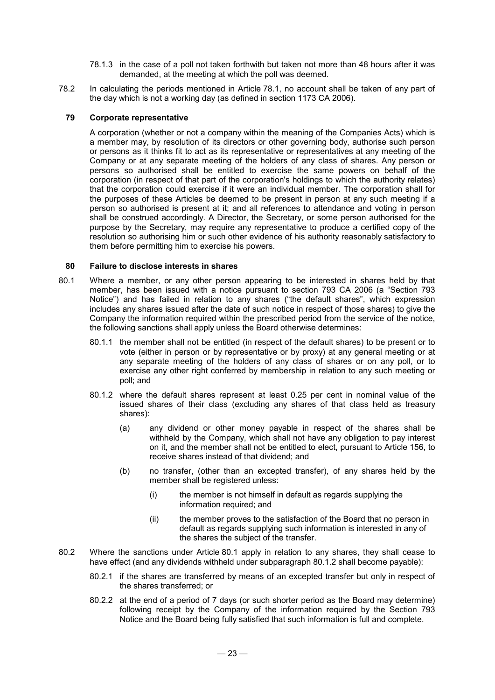- 78.1.3 in the case of a poll not taken forthwith but taken not more than 48 hours after it was demanded, at the meeting at which the poll was deemed.
- 78.2 In calculating the periods mentioned in Article 78.1, no account shall be taken of any part of the day which is not a working day (as defined in section 1173 CA 2006).

## **79 Corporate representative**

A corporation (whether or not a company within the meaning of the Companies Acts) which is a member may, by resolution of its directors or other governing body, authorise such person or persons as it thinks fit to act as its representative or representatives at any meeting of the Company or at any separate meeting of the holders of any class of shares. Any person or persons so authorised shall be entitled to exercise the same powers on behalf of the corporation (in respect of that part of the corporation's holdings to which the authority relates) that the corporation could exercise if it were an individual member. The corporation shall for the purposes of these Articles be deemed to be present in person at any such meeting if a person so authorised is present at it; and all references to attendance and voting in person shall be construed accordingly. A Director, the Secretary, or some person authorised for the purpose by the Secretary, may require any representative to produce a certified copy of the resolution so authorising him or such other evidence of his authority reasonably satisfactory to them before permitting him to exercise his powers.

#### **80 Failure to disclose interests in shares**

- 80.1 Where a member, or any other person appearing to be interested in shares held by that member, has been issued with a notice pursuant to section 793 CA 2006 (a "Section 793 Notice") and has failed in relation to any shares ("the default shares", which expression includes any shares issued after the date of such notice in respect of those shares) to give the Company the information required within the prescribed period from the service of the notice, the following sanctions shall apply unless the Board otherwise determines:
	- 80.1.1 the member shall not be entitled (in respect of the default shares) to be present or to vote (either in person or by representative or by proxy) at any general meeting or at any separate meeting of the holders of any class of shares or on any poll, or to exercise any other right conferred by membership in relation to any such meeting or poll; and
	- 80.1.2 where the default shares represent at least 0.25 per cent in nominal value of the issued shares of their class (excluding any shares of that class held as treasury shares):
		- (a) any dividend or other money payable in respect of the shares shall be withheld by the Company, which shall not have any obligation to pay interest on it, and the member shall not be entitled to elect, pursuant to Article 156, to receive shares instead of that dividend; and
		- (b) no transfer, (other than an excepted transfer), of any shares held by the member shall be registered unless:
			- (i) the member is not himself in default as regards supplying the information required; and
			- (ii) the member proves to the satisfaction of the Board that no person in default as regards supplying such information is interested in any of the shares the subject of the transfer.
- 80.2 Where the sanctions under Article 80.1 apply in relation to any shares, they shall cease to have effect (and any dividends withheld under subparagraph 80.1.2 shall become payable):
	- 80.2.1 if the shares are transferred by means of an excepted transfer but only in respect of the shares transferred; or
	- 80.2.2 at the end of a period of 7 days (or such shorter period as the Board may determine) following receipt by the Company of the information required by the Section 793 Notice and the Board being fully satisfied that such information is full and complete.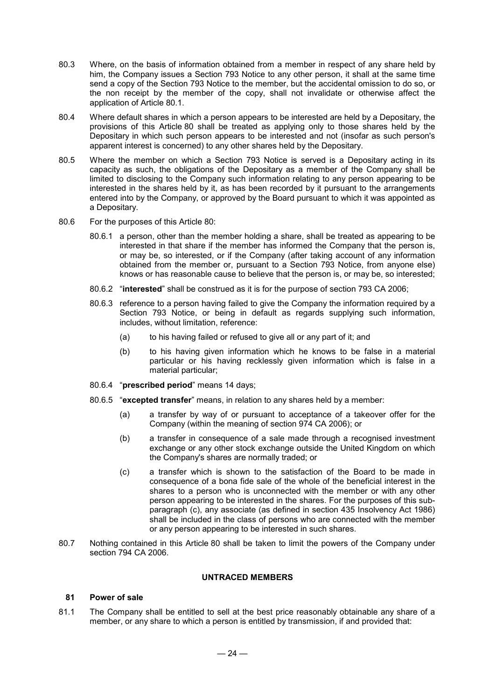- 80.3 Where, on the basis of information obtained from a member in respect of any share held by him, the Company issues a Section 793 Notice to any other person, it shall at the same time send a copy of the Section 793 Notice to the member, but the accidental omission to do so, or the non receipt by the member of the copy, shall not invalidate or otherwise affect the application of Article 80.1.
- 80.4 Where default shares in which a person appears to be interested are held by a Depositary, the provisions of this Article 80 shall be treated as applying only to those shares held by the Depositary in which such person appears to be interested and not (insofar as such person's apparent interest is concerned) to any other shares held by the Depositary.
- 80.5 Where the member on which a Section 793 Notice is served is a Depositary acting in its capacity as such, the obligations of the Depositary as a member of the Company shall be limited to disclosing to the Company such information relating to any person appearing to be interested in the shares held by it, as has been recorded by it pursuant to the arrangements entered into by the Company, or approved by the Board pursuant to which it was appointed as a Depositary.
- 80.6 For the purposes of this Article 80:
	- 80.6.1 a person, other than the member holding a share, shall be treated as appearing to be interested in that share if the member has informed the Company that the person is, or may be, so interested, or if the Company (after taking account of any information obtained from the member or, pursuant to a Section 793 Notice, from anyone else) knows or has reasonable cause to believe that the person is, or may be, so interested;
	- 80.6.2 "**interested**" shall be construed as it is for the purpose of section 793 CA 2006;
	- 80.6.3 reference to a person having failed to give the Company the information required by a Section 793 Notice, or being in default as regards supplying such information, includes, without limitation, reference:
		- (a) to his having failed or refused to give all or any part of it; and
		- (b) to his having given information which he knows to be false in a material particular or his having recklessly given information which is false in a material particular;
	- 80.6.4 "**prescribed period**" means 14 days;
	- 80.6.5 "**excepted transfer**" means, in relation to any shares held by a member:
		- (a) a transfer by way of or pursuant to acceptance of a takeover offer for the Company (within the meaning of section 974 CA 2006); or
		- (b) a transfer in consequence of a sale made through a recognised investment exchange or any other stock exchange outside the United Kingdom on which the Company's shares are normally traded; or
		- (c) a transfer which is shown to the satisfaction of the Board to be made in consequence of a bona fide sale of the whole of the beneficial interest in the shares to a person who is unconnected with the member or with any other person appearing to be interested in the shares. For the purposes of this subparagraph (c), any associate (as defined in section 435 Insolvency Act 1986) shall be included in the class of persons who are connected with the member or any person appearing to be interested in such shares.
- 80.7 Nothing contained in this Article 80 shall be taken to limit the powers of the Company under section 794 CA 2006.

## **UNTRACED MEMBERS**

## **81 Power of sale**

81.1 The Company shall be entitled to sell at the best price reasonably obtainable any share of a member, or any share to which a person is entitled by transmission, if and provided that: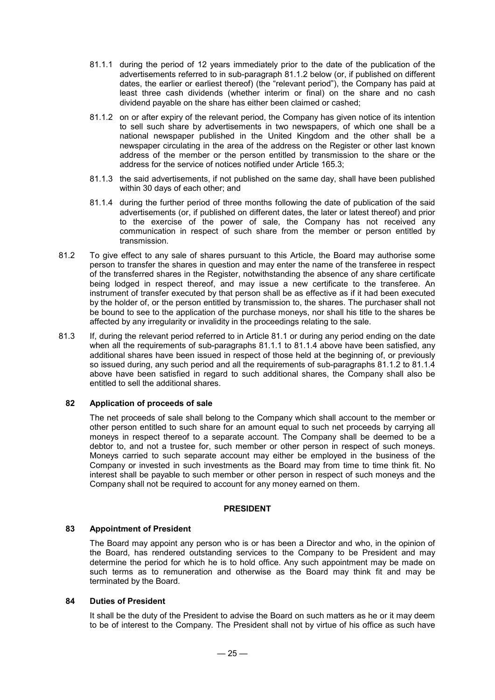- 81.1.1 during the period of 12 years immediately prior to the date of the publication of the advertisements referred to in sub-paragraph 81.1.2 below (or, if published on different dates, the earlier or earliest thereof) (the "relevant period"), the Company has paid at least three cash dividends (whether interim or final) on the share and no cash dividend payable on the share has either been claimed or cashed;
- 81.1.2 on or after expiry of the relevant period, the Company has given notice of its intention to sell such share by advertisements in two newspapers, of which one shall be a national newspaper published in the United Kingdom and the other shall be a newspaper circulating in the area of the address on the Register or other last known address of the member or the person entitled by transmission to the share or the address for the service of notices notified under Article 165.3;
- 81.1.3 the said advertisements, if not published on the same day, shall have been published within 30 days of each other; and
- 81.1.4 during the further period of three months following the date of publication of the said advertisements (or, if published on different dates, the later or latest thereof) and prior to the exercise of the power of sale, the Company has not received any communication in respect of such share from the member or person entitled by transmission.
- 81.2 To give effect to any sale of shares pursuant to this Article, the Board may authorise some person to transfer the shares in question and may enter the name of the transferee in respect of the transferred shares in the Register, notwithstanding the absence of any share certificate being lodged in respect thereof, and may issue a new certificate to the transferee. An instrument of transfer executed by that person shall be as effective as if it had been executed by the holder of, or the person entitled by transmission to, the shares. The purchaser shall not be bound to see to the application of the purchase moneys, nor shall his title to the shares be affected by any irregularity or invalidity in the proceedings relating to the sale.
- 81.3 If, during the relevant period referred to in Article 81.1 or during any period ending on the date when all the requirements of sub-paragraphs 81.1.1 to 81.1.4 above have been satisfied, any additional shares have been issued in respect of those held at the beginning of, or previously so issued during, any such period and all the requirements of sub-paragraphs 81.1.2 to 81.1.4 above have been satisfied in regard to such additional shares, the Company shall also be entitled to sell the additional shares.

## **82 Application of proceeds of sale**

The net proceeds of sale shall belong to the Company which shall account to the member or other person entitled to such share for an amount equal to such net proceeds by carrying all moneys in respect thereof to a separate account. The Company shall be deemed to be a debtor to, and not a trustee for, such member or other person in respect of such moneys. Moneys carried to such separate account may either be employed in the business of the Company or invested in such investments as the Board may from time to time think fit. No interest shall be payable to such member or other person in respect of such moneys and the Company shall not be required to account for any money earned on them.

#### **PRESIDENT**

#### **83 Appointment of President**

The Board may appoint any person who is or has been a Director and who, in the opinion of the Board, has rendered outstanding services to the Company to be President and may determine the period for which he is to hold office. Any such appointment may be made on such terms as to remuneration and otherwise as the Board may think fit and may be terminated by the Board.

## **84 Duties of President**

It shall be the duty of the President to advise the Board on such matters as he or it may deem to be of interest to the Company. The President shall not by virtue of his office as such have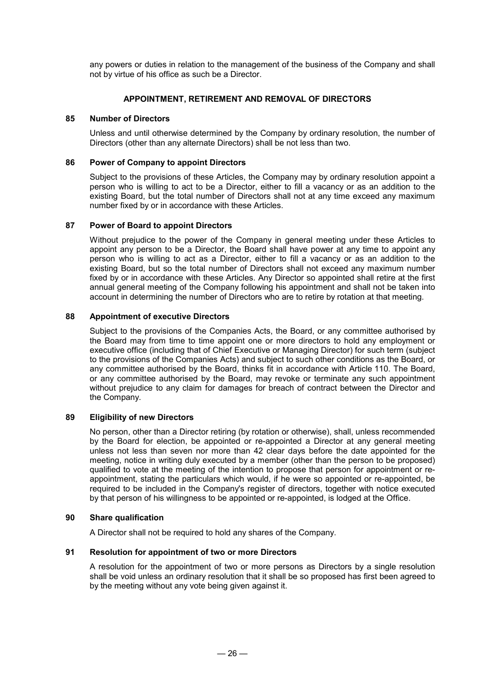any powers or duties in relation to the management of the business of the Company and shall not by virtue of his office as such be a Director.

## **APPOINTMENT, RETIREMENT AND REMOVAL OF DIRECTORS**

## **85 Number of Directors**

Unless and until otherwise determined by the Company by ordinary resolution, the number of Directors (other than any alternate Directors) shall be not less than two.

#### **86 Power of Company to appoint Directors**

Subject to the provisions of these Articles, the Company may by ordinary resolution appoint a person who is willing to act to be a Director, either to fill a vacancy or as an addition to the existing Board, but the total number of Directors shall not at any time exceed any maximum number fixed by or in accordance with these Articles.

#### **87 Power of Board to appoint Directors**

Without prejudice to the power of the Company in general meeting under these Articles to appoint any person to be a Director, the Board shall have power at any time to appoint any person who is willing to act as a Director, either to fill a vacancy or as an addition to the existing Board, but so the total number of Directors shall not exceed any maximum number fixed by or in accordance with these Articles. Any Director so appointed shall retire at the first annual general meeting of the Company following his appointment and shall not be taken into account in determining the number of Directors who are to retire by rotation at that meeting.

## **88 Appointment of executive Directors**

Subject to the provisions of the Companies Acts, the Board, or any committee authorised by the Board may from time to time appoint one or more directors to hold any employment or executive office (including that of Chief Executive or Managing Director) for such term (subject to the provisions of the Companies Acts) and subject to such other conditions as the Board, or any committee authorised by the Board, thinks fit in accordance with Article 110. The Board, or any committee authorised by the Board, may revoke or terminate any such appointment without prejudice to any claim for damages for breach of contract between the Director and the Company.

## **89 Eligibility of new Directors**

No person, other than a Director retiring (by rotation or otherwise), shall, unless recommended by the Board for election, be appointed or re-appointed a Director at any general meeting unless not less than seven nor more than 42 clear days before the date appointed for the meeting, notice in writing duly executed by a member (other than the person to be proposed) qualified to vote at the meeting of the intention to propose that person for appointment or reappointment, stating the particulars which would, if he were so appointed or re-appointed, be required to be included in the Company's register of directors, together with notice executed by that person of his willingness to be appointed or re-appointed, is lodged at the Office.

#### **90 Share qualification**

A Director shall not be required to hold any shares of the Company.

## **91 Resolution for appointment of two or more Directors**

A resolution for the appointment of two or more persons as Directors by a single resolution shall be void unless an ordinary resolution that it shall be so proposed has first been agreed to by the meeting without any vote being given against it.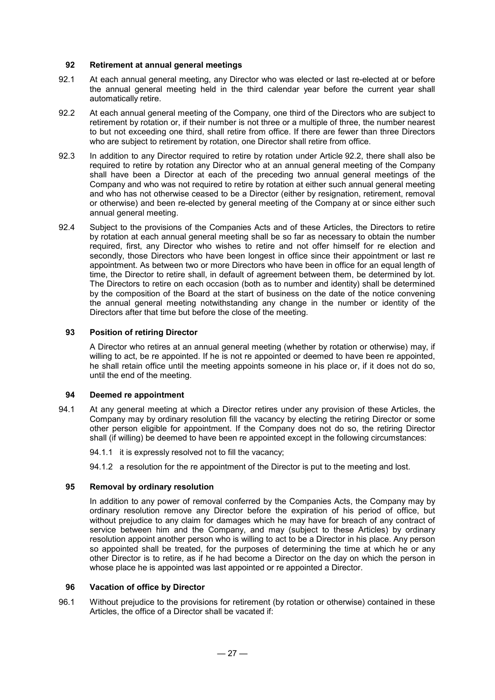## **92 Retirement at annual general meetings**

- 92.1 At each annual general meeting, any Director who was elected or last re-elected at or before the annual general meeting held in the third calendar year before the current year shall automatically retire.
- 92.2 At each annual general meeting of the Company, one third of the Directors who are subject to retirement by rotation or, if their number is not three or a multiple of three, the number nearest to but not exceeding one third, shall retire from office. If there are fewer than three Directors who are subject to retirement by rotation, one Director shall retire from office.
- 92.3 In addition to any Director required to retire by rotation under Article 92.2, there shall also be required to retire by rotation any Director who at an annual general meeting of the Company shall have been a Director at each of the preceding two annual general meetings of the Company and who was not required to retire by rotation at either such annual general meeting and who has not otherwise ceased to be a Director (either by resignation, retirement, removal or otherwise) and been re-elected by general meeting of the Company at or since either such annual general meeting.
- 92.4 Subject to the provisions of the Companies Acts and of these Articles, the Directors to retire by rotation at each annual general meeting shall be so far as necessary to obtain the number required, first, any Director who wishes to retire and not offer himself for re election and secondly, those Directors who have been longest in office since their appointment or last re appointment. As between two or more Directors who have been in office for an equal length of time, the Director to retire shall, in default of agreement between them, be determined by lot. The Directors to retire on each occasion (both as to number and identity) shall be determined by the composition of the Board at the start of business on the date of the notice convening the annual general meeting notwithstanding any change in the number or identity of the Directors after that time but before the close of the meeting.

## **93 Position of retiring Director**

A Director who retires at an annual general meeting (whether by rotation or otherwise) may, if willing to act, be re appointed. If he is not re appointed or deemed to have been re appointed, he shall retain office until the meeting appoints someone in his place or, if it does not do so, until the end of the meeting.

#### **94 Deemed re appointment**

- 94.1 At any general meeting at which a Director retires under any provision of these Articles, the Company may by ordinary resolution fill the vacancy by electing the retiring Director or some other person eligible for appointment. If the Company does not do so, the retiring Director shall (if willing) be deemed to have been re appointed except in the following circumstances:
	- 94.1.1 it is expressly resolved not to fill the vacancy;

94.1.2 a resolution for the re appointment of the Director is put to the meeting and lost.

## **95 Removal by ordinary resolution**

In addition to any power of removal conferred by the Companies Acts, the Company may by ordinary resolution remove any Director before the expiration of his period of office, but without prejudice to any claim for damages which he may have for breach of any contract of service between him and the Company, and may (subject to these Articles) by ordinary resolution appoint another person who is willing to act to be a Director in his place. Any person so appointed shall be treated, for the purposes of determining the time at which he or any other Director is to retire, as if he had become a Director on the day on which the person in whose place he is appointed was last appointed or re appointed a Director.

## **96 Vacation of office by Director**

96.1 Without prejudice to the provisions for retirement (by rotation or otherwise) contained in these Articles, the office of a Director shall be vacated if: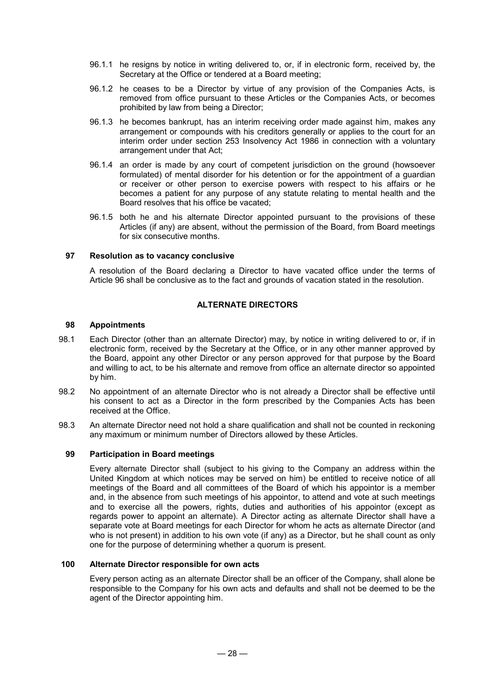- 96.1.1 he resigns by notice in writing delivered to, or, if in electronic form, received by, the Secretary at the Office or tendered at a Board meeting;
- 96.1.2 he ceases to be a Director by virtue of any provision of the Companies Acts, is removed from office pursuant to these Articles or the Companies Acts, or becomes prohibited by law from being a Director;
- 96.1.3 he becomes bankrupt, has an interim receiving order made against him, makes any arrangement or compounds with his creditors generally or applies to the court for an interim order under section 253 Insolvency Act 1986 in connection with a voluntary arrangement under that Act;
- 96.1.4 an order is made by any court of competent jurisdiction on the ground (howsoever formulated) of mental disorder for his detention or for the appointment of a guardian or receiver or other person to exercise powers with respect to his affairs or he becomes a patient for any purpose of any statute relating to mental health and the Board resolves that his office be vacated;
- 96.1.5 both he and his alternate Director appointed pursuant to the provisions of these Articles (if any) are absent, without the permission of the Board, from Board meetings for six consecutive months.

## **97 Resolution as to vacancy conclusive**

A resolution of the Board declaring a Director to have vacated office under the terms of Article 96 shall be conclusive as to the fact and grounds of vacation stated in the resolution.

## **ALTERNATE DIRECTORS**

## **98 Appointments**

- 98.1 Each Director (other than an alternate Director) may, by notice in writing delivered to or, if in electronic form, received by the Secretary at the Office, or in any other manner approved by the Board, appoint any other Director or any person approved for that purpose by the Board and willing to act, to be his alternate and remove from office an alternate director so appointed by him.
- 98.2 No appointment of an alternate Director who is not already a Director shall be effective until his consent to act as a Director in the form prescribed by the Companies Acts has been received at the Office.
- 98.3 An alternate Director need not hold a share qualification and shall not be counted in reckoning any maximum or minimum number of Directors allowed by these Articles.

#### **99 Participation in Board meetings**

Every alternate Director shall (subject to his giving to the Company an address within the United Kingdom at which notices may be served on him) be entitled to receive notice of all meetings of the Board and all committees of the Board of which his appointor is a member and, in the absence from such meetings of his appointor, to attend and vote at such meetings and to exercise all the powers, rights, duties and authorities of his appointor (except as regards power to appoint an alternate). A Director acting as alternate Director shall have a separate vote at Board meetings for each Director for whom he acts as alternate Director (and who is not present) in addition to his own vote (if any) as a Director, but he shall count as only one for the purpose of determining whether a quorum is present.

#### **100 Alternate Director responsible for own acts**

Every person acting as an alternate Director shall be an officer of the Company, shall alone be responsible to the Company for his own acts and defaults and shall not be deemed to be the agent of the Director appointing him.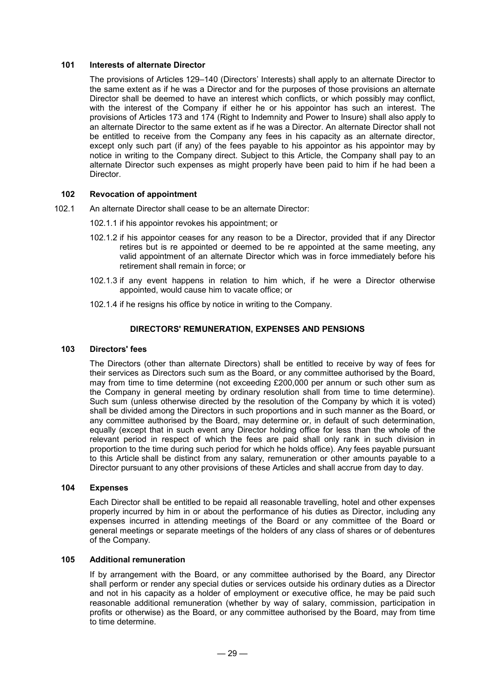#### **101 Interests of alternate Director**

The provisions of Articles 129–140 (Directors' Interests) shall apply to an alternate Director to the same extent as if he was a Director and for the purposes of those provisions an alternate Director shall be deemed to have an interest which conflicts, or which possibly may conflict, with the interest of the Company if either he or his appointor has such an interest. The provisions of Articles 173 and 174 (Right to Indemnity and Power to Insure) shall also apply to an alternate Director to the same extent as if he was a Director. An alternate Director shall not be entitled to receive from the Company any fees in his capacity as an alternate director, except only such part (if any) of the fees payable to his appointor as his appointor may by notice in writing to the Company direct. Subject to this Article, the Company shall pay to an alternate Director such expenses as might properly have been paid to him if he had been a Director.

#### **102 Revocation of appointment**

- 102.1 An alternate Director shall cease to be an alternate Director:
	- 102.1.1 if his appointor revokes his appointment; or
	- 102.1.2 if his appointor ceases for any reason to be a Director, provided that if any Director retires but is re appointed or deemed to be re appointed at the same meeting, any valid appointment of an alternate Director which was in force immediately before his retirement shall remain in force; or
	- 102.1.3 if any event happens in relation to him which, if he were a Director otherwise appointed, would cause him to vacate office; or
	- 102.1.4 if he resigns his office by notice in writing to the Company.

#### **DIRECTORS' REMUNERATION, EXPENSES AND PENSIONS**

#### **103 Directors' fees**

The Directors (other than alternate Directors) shall be entitled to receive by way of fees for their services as Directors such sum as the Board, or any committee authorised by the Board, may from time to time determine (not exceeding £200,000 per annum or such other sum as the Company in general meeting by ordinary resolution shall from time to time determine). Such sum (unless otherwise directed by the resolution of the Company by which it is voted) shall be divided among the Directors in such proportions and in such manner as the Board, or any committee authorised by the Board, may determine or, in default of such determination, equally (except that in such event any Director holding office for less than the whole of the relevant period in respect of which the fees are paid shall only rank in such division in proportion to the time during such period for which he holds office). Any fees payable pursuant to this Article shall be distinct from any salary, remuneration or other amounts payable to a Director pursuant to any other provisions of these Articles and shall accrue from day to day.

#### **104 Expenses**

Each Director shall be entitled to be repaid all reasonable travelling, hotel and other expenses properly incurred by him in or about the performance of his duties as Director, including any expenses incurred in attending meetings of the Board or any committee of the Board or general meetings or separate meetings of the holders of any class of shares or of debentures of the Company.

## **105 Additional remuneration**

If by arrangement with the Board, or any committee authorised by the Board, any Director shall perform or render any special duties or services outside his ordinary duties as a Director and not in his capacity as a holder of employment or executive office, he may be paid such reasonable additional remuneration (whether by way of salary, commission, participation in profits or otherwise) as the Board, or any committee authorised by the Board, may from time to time determine.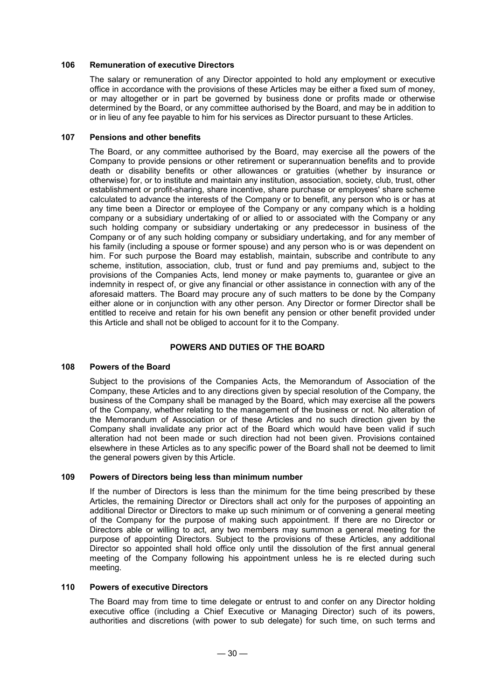## **106 Remuneration of executive Directors**

The salary or remuneration of any Director appointed to hold any employment or executive office in accordance with the provisions of these Articles may be either a fixed sum of money, or may altogether or in part be governed by business done or profits made or otherwise determined by the Board, or any committee authorised by the Board, and may be in addition to or in lieu of any fee payable to him for his services as Director pursuant to these Articles.

## **107 Pensions and other benefits**

The Board, or any committee authorised by the Board, may exercise all the powers of the Company to provide pensions or other retirement or superannuation benefits and to provide death or disability benefits or other allowances or gratuities (whether by insurance or otherwise) for, or to institute and maintain any institution, association, society, club, trust, other establishment or profit-sharing, share incentive, share purchase or employees' share scheme calculated to advance the interests of the Company or to benefit, any person who is or has at any time been a Director or employee of the Company or any company which is a holding company or a subsidiary undertaking of or allied to or associated with the Company or any such holding company or subsidiary undertaking or any predecessor in business of the Company or of any such holding company or subsidiary undertaking, and for any member of his family (including a spouse or former spouse) and any person who is or was dependent on him. For such purpose the Board may establish, maintain, subscribe and contribute to any scheme, institution, association, club, trust or fund and pay premiums and, subject to the provisions of the Companies Acts, lend money or make payments to, guarantee or give an indemnity in respect of, or give any financial or other assistance in connection with any of the aforesaid matters. The Board may procure any of such matters to be done by the Company either alone or in conjunction with any other person. Any Director or former Director shall be entitled to receive and retain for his own benefit any pension or other benefit provided under this Article and shall not be obliged to account for it to the Company.

## **POWERS AND DUTIES OF THE BOARD**

#### **108 Powers of the Board**

Subject to the provisions of the Companies Acts, the Memorandum of Association of the Company, these Articles and to any directions given by special resolution of the Company, the business of the Company shall be managed by the Board, which may exercise all the powers of the Company, whether relating to the management of the business or not. No alteration of the Memorandum of Association or of these Articles and no such direction given by the Company shall invalidate any prior act of the Board which would have been valid if such alteration had not been made or such direction had not been given. Provisions contained elsewhere in these Articles as to any specific power of the Board shall not be deemed to limit the general powers given by this Article.

#### **109 Powers of Directors being less than minimum number**

If the number of Directors is less than the minimum for the time being prescribed by these Articles, the remaining Director or Directors shall act only for the purposes of appointing an additional Director or Directors to make up such minimum or of convening a general meeting of the Company for the purpose of making such appointment. If there are no Director or Directors able or willing to act, any two members may summon a general meeting for the purpose of appointing Directors. Subject to the provisions of these Articles, any additional Director so appointed shall hold office only until the dissolution of the first annual general meeting of the Company following his appointment unless he is re elected during such meeting.

## **110 Powers of executive Directors**

The Board may from time to time delegate or entrust to and confer on any Director holding executive office (including a Chief Executive or Managing Director) such of its powers, authorities and discretions (with power to sub delegate) for such time, on such terms and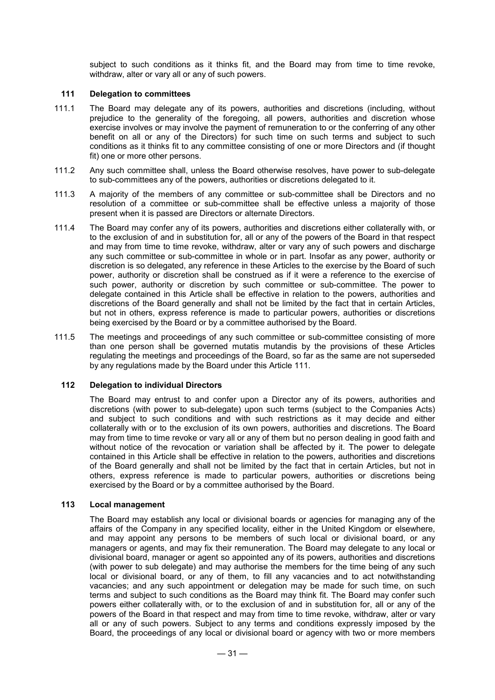subject to such conditions as it thinks fit, and the Board may from time to time revoke, withdraw, alter or vary all or any of such powers.

#### **111 Delegation to committees**

- 111.1 The Board may delegate any of its powers, authorities and discretions (including, without prejudice to the generality of the foregoing, all powers, authorities and discretion whose exercise involves or may involve the payment of remuneration to or the conferring of any other benefit on all or any of the Directors) for such time on such terms and subject to such conditions as it thinks fit to any committee consisting of one or more Directors and (if thought fit) one or more other persons.
- 111.2 Any such committee shall, unless the Board otherwise resolves, have power to sub-delegate to sub-committees any of the powers, authorities or discretions delegated to it.
- 111.3 A majority of the members of any committee or sub-committee shall be Directors and no resolution of a committee or sub-committee shall be effective unless a majority of those present when it is passed are Directors or alternate Directors.
- 111.4 The Board may confer any of its powers, authorities and discretions either collaterally with, or to the exclusion of and in substitution for, all or any of the powers of the Board in that respect and may from time to time revoke, withdraw, alter or vary any of such powers and discharge any such committee or sub-committee in whole or in part. Insofar as any power, authority or discretion is so delegated, any reference in these Articles to the exercise by the Board of such power, authority or discretion shall be construed as if it were a reference to the exercise of such power, authority or discretion by such committee or sub-committee. The power to delegate contained in this Article shall be effective in relation to the powers, authorities and discretions of the Board generally and shall not be limited by the fact that in certain Articles, but not in others, express reference is made to particular powers, authorities or discretions being exercised by the Board or by a committee authorised by the Board.
- 111.5 The meetings and proceedings of any such committee or sub-committee consisting of more than one person shall be governed mutatis mutandis by the provisions of these Articles regulating the meetings and proceedings of the Board, so far as the same are not superseded by any regulations made by the Board under this Article 111.

#### **112 Delegation to individual Directors**

The Board may entrust to and confer upon a Director any of its powers, authorities and discretions (with power to sub-delegate) upon such terms (subject to the Companies Acts) and subject to such conditions and with such restrictions as it may decide and either collaterally with or to the exclusion of its own powers, authorities and discretions. The Board may from time to time revoke or vary all or any of them but no person dealing in good faith and without notice of the revocation or variation shall be affected by it. The power to delegate contained in this Article shall be effective in relation to the powers, authorities and discretions of the Board generally and shall not be limited by the fact that in certain Articles, but not in others, express reference is made to particular powers, authorities or discretions being exercised by the Board or by a committee authorised by the Board.

## **113 Local management**

The Board may establish any local or divisional boards or agencies for managing any of the affairs of the Company in any specified locality, either in the United Kingdom or elsewhere, and may appoint any persons to be members of such local or divisional board, or any managers or agents, and may fix their remuneration. The Board may delegate to any local or divisional board, manager or agent so appointed any of its powers, authorities and discretions (with power to sub delegate) and may authorise the members for the time being of any such local or divisional board, or any of them, to fill any vacancies and to act notwithstanding vacancies; and any such appointment or delegation may be made for such time, on such terms and subject to such conditions as the Board may think fit. The Board may confer such powers either collaterally with, or to the exclusion of and in substitution for, all or any of the powers of the Board in that respect and may from time to time revoke, withdraw, alter or vary all or any of such powers. Subject to any terms and conditions expressly imposed by the Board, the proceedings of any local or divisional board or agency with two or more members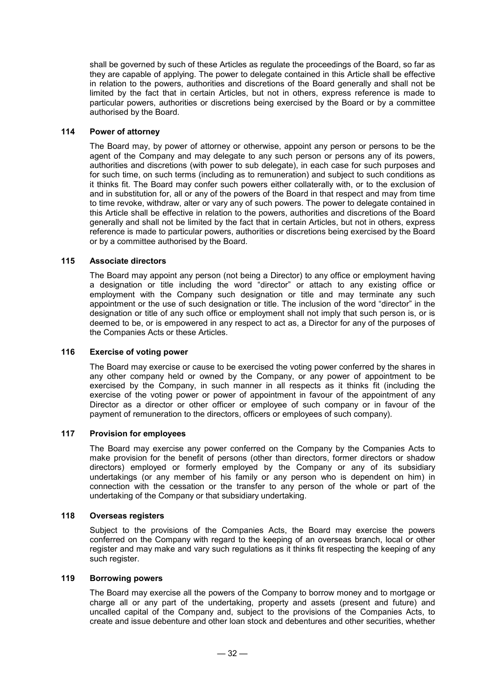shall be governed by such of these Articles as regulate the proceedings of the Board, so far as they are capable of applying. The power to delegate contained in this Article shall be effective in relation to the powers, authorities and discretions of the Board generally and shall not be limited by the fact that in certain Articles, but not in others, express reference is made to particular powers, authorities or discretions being exercised by the Board or by a committee authorised by the Board.

## **114 Power of attorney**

The Board may, by power of attorney or otherwise, appoint any person or persons to be the agent of the Company and may delegate to any such person or persons any of its powers, authorities and discretions (with power to sub delegate), in each case for such purposes and for such time, on such terms (including as to remuneration) and subject to such conditions as it thinks fit. The Board may confer such powers either collaterally with, or to the exclusion of and in substitution for, all or any of the powers of the Board in that respect and may from time to time revoke, withdraw, alter or vary any of such powers. The power to delegate contained in this Article shall be effective in relation to the powers, authorities and discretions of the Board generally and shall not be limited by the fact that in certain Articles, but not in others, express reference is made to particular powers, authorities or discretions being exercised by the Board or by a committee authorised by the Board.

## **115 Associate directors**

The Board may appoint any person (not being a Director) to any office or employment having a designation or title including the word "director" or attach to any existing office or employment with the Company such designation or title and may terminate any such appointment or the use of such designation or title. The inclusion of the word "director" in the designation or title of any such office or employment shall not imply that such person is, or is deemed to be, or is empowered in any respect to act as, a Director for any of the purposes of the Companies Acts or these Articles.

#### **116 Exercise of voting power**

The Board may exercise or cause to be exercised the voting power conferred by the shares in any other company held or owned by the Company, or any power of appointment to be exercised by the Company, in such manner in all respects as it thinks fit (including the exercise of the voting power or power of appointment in favour of the appointment of any Director as a director or other officer or employee of such company or in favour of the payment of remuneration to the directors, officers or employees of such company).

## **117 Provision for employees**

The Board may exercise any power conferred on the Company by the Companies Acts to make provision for the benefit of persons (other than directors, former directors or shadow directors) employed or formerly employed by the Company or any of its subsidiary undertakings (or any member of his family or any person who is dependent on him) in connection with the cessation or the transfer to any person of the whole or part of the undertaking of the Company or that subsidiary undertaking.

#### **118 Overseas registers**

Subject to the provisions of the Companies Acts, the Board may exercise the powers conferred on the Company with regard to the keeping of an overseas branch, local or other register and may make and vary such regulations as it thinks fit respecting the keeping of any such register.

## **119 Borrowing powers**

The Board may exercise all the powers of the Company to borrow money and to mortgage or charge all or any part of the undertaking, property and assets (present and future) and uncalled capital of the Company and, subject to the provisions of the Companies Acts, to create and issue debenture and other loan stock and debentures and other securities, whether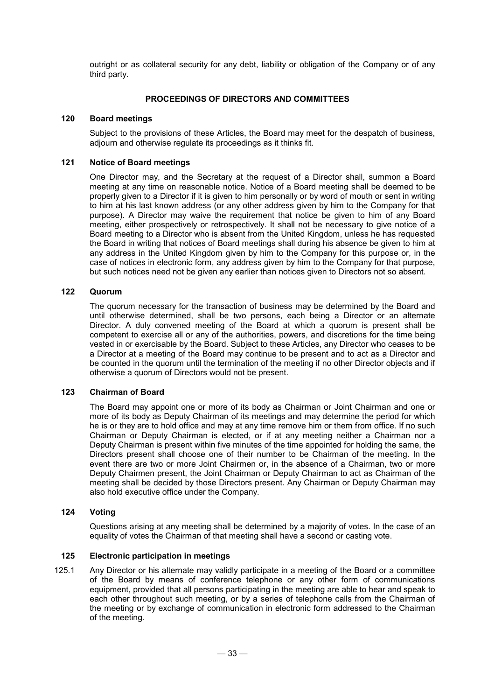outright or as collateral security for any debt, liability or obligation of the Company or of any third party.

## **PROCEEDINGS OF DIRECTORS AND COMMITTEES**

#### **120 Board meetings**

Subject to the provisions of these Articles, the Board may meet for the despatch of business, adjourn and otherwise regulate its proceedings as it thinks fit.

#### **121 Notice of Board meetings**

One Director may, and the Secretary at the request of a Director shall, summon a Board meeting at any time on reasonable notice. Notice of a Board meeting shall be deemed to be properly given to a Director if it is given to him personally or by word of mouth or sent in writing to him at his last known address (or any other address given by him to the Company for that purpose). A Director may waive the requirement that notice be given to him of any Board meeting, either prospectively or retrospectively. It shall not be necessary to give notice of a Board meeting to a Director who is absent from the United Kingdom, unless he has requested the Board in writing that notices of Board meetings shall during his absence be given to him at any address in the United Kingdom given by him to the Company for this purpose or, in the case of notices in electronic form, any address given by him to the Company for that purpose, but such notices need not be given any earlier than notices given to Directors not so absent.

#### **122 Quorum**

The quorum necessary for the transaction of business may be determined by the Board and until otherwise determined, shall be two persons, each being a Director or an alternate Director. A duly convened meeting of the Board at which a quorum is present shall be competent to exercise all or any of the authorities, powers, and discretions for the time being vested in or exercisable by the Board. Subject to these Articles, any Director who ceases to be a Director at a meeting of the Board may continue to be present and to act as a Director and be counted in the quorum until the termination of the meeting if no other Director objects and if otherwise a quorum of Directors would not be present.

#### **123 Chairman of Board**

The Board may appoint one or more of its body as Chairman or Joint Chairman and one or more of its body as Deputy Chairman of its meetings and may determine the period for which he is or they are to hold office and may at any time remove him or them from office. If no such Chairman or Deputy Chairman is elected, or if at any meeting neither a Chairman nor a Deputy Chairman is present within five minutes of the time appointed for holding the same, the Directors present shall choose one of their number to be Chairman of the meeting. In the event there are two or more Joint Chairmen or, in the absence of a Chairman, two or more Deputy Chairmen present, the Joint Chairman or Deputy Chairman to act as Chairman of the meeting shall be decided by those Directors present. Any Chairman or Deputy Chairman may also hold executive office under the Company.

#### **124 Voting**

Questions arising at any meeting shall be determined by a majority of votes. In the case of an equality of votes the Chairman of that meeting shall have a second or casting vote.

#### **125 Electronic participation in meetings**

125.1 Any Director or his alternate may validly participate in a meeting of the Board or a committee of the Board by means of conference telephone or any other form of communications equipment, provided that all persons participating in the meeting are able to hear and speak to each other throughout such meeting, or by a series of telephone calls from the Chairman of the meeting or by exchange of communication in electronic form addressed to the Chairman of the meeting.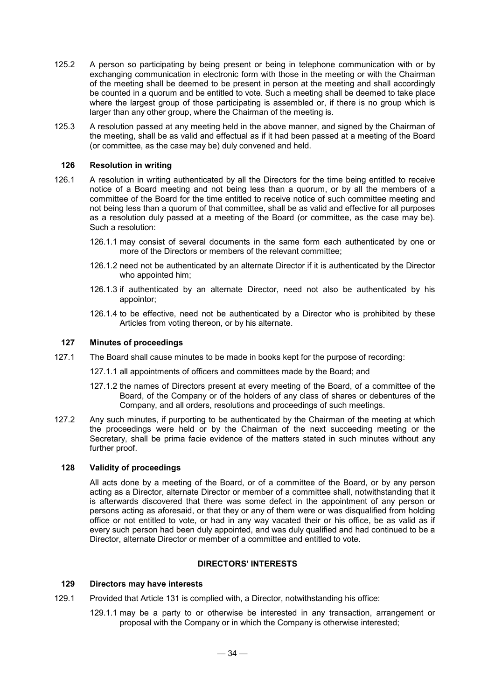- 125.2 A person so participating by being present or being in telephone communication with or by exchanging communication in electronic form with those in the meeting or with the Chairman of the meeting shall be deemed to be present in person at the meeting and shall accordingly be counted in a quorum and be entitled to vote. Such a meeting shall be deemed to take place where the largest group of those participating is assembled or, if there is no group which is larger than any other group, where the Chairman of the meeting is.
- 125.3 A resolution passed at any meeting held in the above manner, and signed by the Chairman of the meeting, shall be as valid and effectual as if it had been passed at a meeting of the Board (or committee, as the case may be) duly convened and held.

#### **126 Resolution in writing**

- 126.1 A resolution in writing authenticated by all the Directors for the time being entitled to receive notice of a Board meeting and not being less than a quorum, or by all the members of a committee of the Board for the time entitled to receive notice of such committee meeting and not being less than a quorum of that committee, shall be as valid and effective for all purposes as a resolution duly passed at a meeting of the Board (or committee, as the case may be). Such a resolution:
	- 126.1.1 may consist of several documents in the same form each authenticated by one or more of the Directors or members of the relevant committee;
	- 126.1.2 need not be authenticated by an alternate Director if it is authenticated by the Director who appointed him;
	- 126.1.3 if authenticated by an alternate Director, need not also be authenticated by his appointor;
	- 126.1.4 to be effective, need not be authenticated by a Director who is prohibited by these Articles from voting thereon, or by his alternate.

#### **127 Minutes of proceedings**

- 127.1 The Board shall cause minutes to be made in books kept for the purpose of recording:
	- 127.1.1 all appointments of officers and committees made by the Board; and
	- 127.1.2 the names of Directors present at every meeting of the Board, of a committee of the Board, of the Company or of the holders of any class of shares or debentures of the Company, and all orders, resolutions and proceedings of such meetings.
- 127.2 Any such minutes, if purporting to be authenticated by the Chairman of the meeting at which the proceedings were held or by the Chairman of the next succeeding meeting or the Secretary, shall be prima facie evidence of the matters stated in such minutes without any further proof.

#### **128 Validity of proceedings**

All acts done by a meeting of the Board, or of a committee of the Board, or by any person acting as a Director, alternate Director or member of a committee shall, notwithstanding that it is afterwards discovered that there was some defect in the appointment of any person or persons acting as aforesaid, or that they or any of them were or was disqualified from holding office or not entitled to vote, or had in any way vacated their or his office, be as valid as if every such person had been duly appointed, and was duly qualified and had continued to be a Director, alternate Director or member of a committee and entitled to vote.

## **DIRECTORS' INTERESTS**

#### **129 Directors may have interests**

- 129.1 Provided that Article 131 is complied with, a Director, notwithstanding his office:
	- 129.1.1 may be a party to or otherwise be interested in any transaction, arrangement or proposal with the Company or in which the Company is otherwise interested;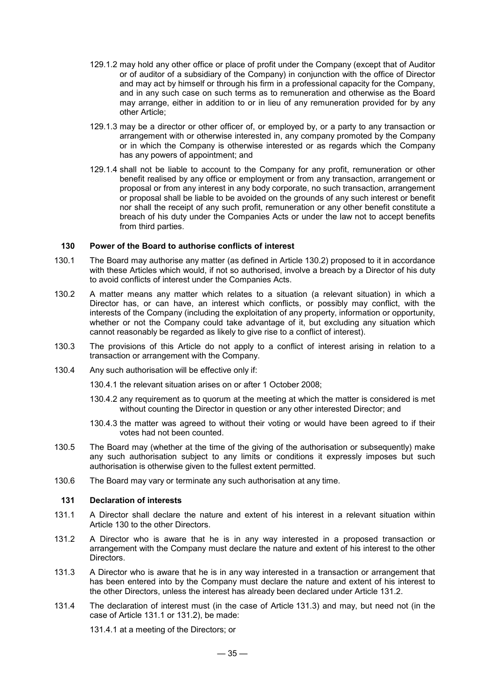- 129.1.2 may hold any other office or place of profit under the Company (except that of Auditor or of auditor of a subsidiary of the Company) in conjunction with the office of Director and may act by himself or through his firm in a professional capacity for the Company, and in any such case on such terms as to remuneration and otherwise as the Board may arrange, either in addition to or in lieu of any remuneration provided for by any other Article;
- 129.1.3 may be a director or other officer of, or employed by, or a party to any transaction or arrangement with or otherwise interested in, any company promoted by the Company or in which the Company is otherwise interested or as regards which the Company has any powers of appointment; and
- 129.1.4 shall not be liable to account to the Company for any profit, remuneration or other benefit realised by any office or employment or from any transaction, arrangement or proposal or from any interest in any body corporate, no such transaction, arrangement or proposal shall be liable to be avoided on the grounds of any such interest or benefit nor shall the receipt of any such profit, remuneration or any other benefit constitute a breach of his duty under the Companies Acts or under the law not to accept benefits from third parties.

#### **130 Power of the Board to authorise conflicts of interest**

- 130.1 The Board may authorise any matter (as defined in Article 130.2) proposed to it in accordance with these Articles which would, if not so authorised, involve a breach by a Director of his duty to avoid conflicts of interest under the Companies Acts.
- 130.2 A matter means any matter which relates to a situation (a relevant situation) in which a Director has, or can have, an interest which conflicts, or possibly may conflict, with the interests of the Company (including the exploitation of any property, information or opportunity, whether or not the Company could take advantage of it, but excluding any situation which cannot reasonably be regarded as likely to give rise to a conflict of interest).
- 130.3 The provisions of this Article do not apply to a conflict of interest arising in relation to a transaction or arrangement with the Company.
- 130.4 Any such authorisation will be effective only if:
	- 130.4.1 the relevant situation arises on or after 1 October 2008;
	- 130.4.2 any requirement as to quorum at the meeting at which the matter is considered is met without counting the Director in question or any other interested Director; and
	- 130.4.3 the matter was agreed to without their voting or would have been agreed to if their votes had not been counted.
- 130.5 The Board may (whether at the time of the giving of the authorisation or subsequently) make any such authorisation subject to any limits or conditions it expressly imposes but such authorisation is otherwise given to the fullest extent permitted.
- 130.6 The Board may vary or terminate any such authorisation at any time.

#### **131 Declaration of interests**

- 131.1 A Director shall declare the nature and extent of his interest in a relevant situation within Article 130 to the other Directors.
- 131.2 A Director who is aware that he is in any way interested in a proposed transaction or arrangement with the Company must declare the nature and extent of his interest to the other Directors.
- 131.3 A Director who is aware that he is in any way interested in a transaction or arrangement that has been entered into by the Company must declare the nature and extent of his interest to the other Directors, unless the interest has already been declared under Article 131.2.
- 131.4 The declaration of interest must (in the case of Article 131.3) and may, but need not (in the case of Article 131.1 or 131.2), be made:

131.4.1 at a meeting of the Directors; or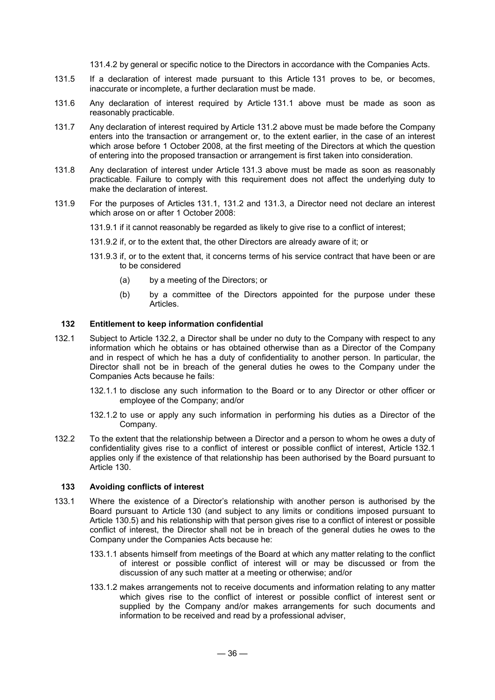131.4.2 by general or specific notice to the Directors in accordance with the Companies Acts.

- 131.5 If a declaration of interest made pursuant to this Article 131 proves to be, or becomes, inaccurate or incomplete, a further declaration must be made.
- 131.6 Any declaration of interest required by Article 131.1 above must be made as soon as reasonably practicable.
- 131.7 Any declaration of interest required by Article 131.2 above must be made before the Company enters into the transaction or arrangement or, to the extent earlier, in the case of an interest which arose before 1 October 2008, at the first meeting of the Directors at which the question of entering into the proposed transaction or arrangement is first taken into consideration.
- 131.8 Any declaration of interest under Article 131.3 above must be made as soon as reasonably practicable. Failure to comply with this requirement does not affect the underlying duty to make the declaration of interest.
- 131.9 For the purposes of Articles 131.1, 131.2 and 131.3, a Director need not declare an interest which arose on or after 1 October 2008:
	- 131.9.1 if it cannot reasonably be regarded as likely to give rise to a conflict of interest;
	- 131.9.2 if, or to the extent that, the other Directors are already aware of it; or
	- 131.9.3 if, or to the extent that, it concerns terms of his service contract that have been or are to be considered
		- (a) by a meeting of the Directors; or
		- (b) by a committee of the Directors appointed for the purpose under these Articles.

## **132 Entitlement to keep information confidential**

- 132.1 Subject to Article 132.2, a Director shall be under no duty to the Company with respect to any information which he obtains or has obtained otherwise than as a Director of the Company and in respect of which he has a duty of confidentiality to another person. In particular, the Director shall not be in breach of the general duties he owes to the Company under the Companies Acts because he fails:
	- 132.1.1 to disclose any such information to the Board or to any Director or other officer or employee of the Company; and/or
	- 132.1.2 to use or apply any such information in performing his duties as a Director of the Company.
- 132.2 To the extent that the relationship between a Director and a person to whom he owes a duty of confidentiality gives rise to a conflict of interest or possible conflict of interest, Article 132.1 applies only if the existence of that relationship has been authorised by the Board pursuant to Article 130.

#### **133 Avoiding conflicts of interest**

- 133.1 Where the existence of a Director's relationship with another person is authorised by the Board pursuant to Article 130 (and subject to any limits or conditions imposed pursuant to Article 130.5) and his relationship with that person gives rise to a conflict of interest or possible conflict of interest, the Director shall not be in breach of the general duties he owes to the Company under the Companies Acts because he:
	- 133.1.1 absents himself from meetings of the Board at which any matter relating to the conflict of interest or possible conflict of interest will or may be discussed or from the discussion of any such matter at a meeting or otherwise; and/or
	- 133.1.2 makes arrangements not to receive documents and information relating to any matter which gives rise to the conflict of interest or possible conflict of interest sent or supplied by the Company and/or makes arrangements for such documents and information to be received and read by a professional adviser,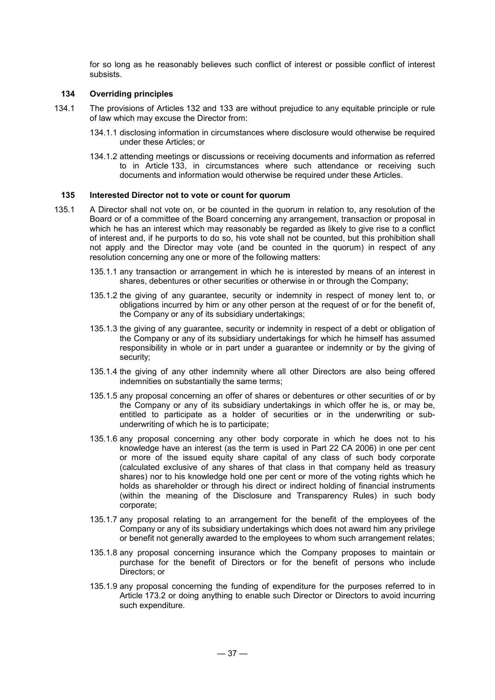for so long as he reasonably believes such conflict of interest or possible conflict of interest subsists.

## **134 Overriding principles**

- 134.1 The provisions of Articles 132 and 133 are without prejudice to any equitable principle or rule of law which may excuse the Director from:
	- 134.1.1 disclosing information in circumstances where disclosure would otherwise be required under these Articles; or
	- 134.1.2 attending meetings or discussions or receiving documents and information as referred to in Article 133, in circumstances where such attendance or receiving such documents and information would otherwise be required under these Articles.

#### **135 Interested Director not to vote or count for quorum**

- 135.1 A Director shall not vote on, or be counted in the quorum in relation to, any resolution of the Board or of a committee of the Board concerning any arrangement, transaction or proposal in which he has an interest which may reasonably be regarded as likely to give rise to a conflict of interest and, if he purports to do so, his vote shall not be counted, but this prohibition shall not apply and the Director may vote (and be counted in the quorum) in respect of any resolution concerning any one or more of the following matters:
	- 135.1.1 any transaction or arrangement in which he is interested by means of an interest in shares, debentures or other securities or otherwise in or through the Company;
	- 135.1.2 the giving of any guarantee, security or indemnity in respect of money lent to, or obligations incurred by him or any other person at the request of or for the benefit of, the Company or any of its subsidiary undertakings;
	- 135.1.3 the giving of any guarantee, security or indemnity in respect of a debt or obligation of the Company or any of its subsidiary undertakings for which he himself has assumed responsibility in whole or in part under a guarantee or indemnity or by the giving of security;
	- 135.1.4 the giving of any other indemnity where all other Directors are also being offered indemnities on substantially the same terms;
	- 135.1.5 any proposal concerning an offer of shares or debentures or other securities of or by the Company or any of its subsidiary undertakings in which offer he is, or may be, entitled to participate as a holder of securities or in the underwriting or subunderwriting of which he is to participate;
	- 135.1.6 any proposal concerning any other body corporate in which he does not to his knowledge have an interest (as the term is used in Part 22 CA 2006) in one per cent or more of the issued equity share capital of any class of such body corporate (calculated exclusive of any shares of that class in that company held as treasury shares) nor to his knowledge hold one per cent or more of the voting rights which he holds as shareholder or through his direct or indirect holding of financial instruments (within the meaning of the Disclosure and Transparency Rules) in such body corporate;
	- 135.1.7 any proposal relating to an arrangement for the benefit of the employees of the Company or any of its subsidiary undertakings which does not award him any privilege or benefit not generally awarded to the employees to whom such arrangement relates;
	- 135.1.8 any proposal concerning insurance which the Company proposes to maintain or purchase for the benefit of Directors or for the benefit of persons who include Directors; or
	- 135.1.9 any proposal concerning the funding of expenditure for the purposes referred to in Article 173.2 or doing anything to enable such Director or Directors to avoid incurring such expenditure.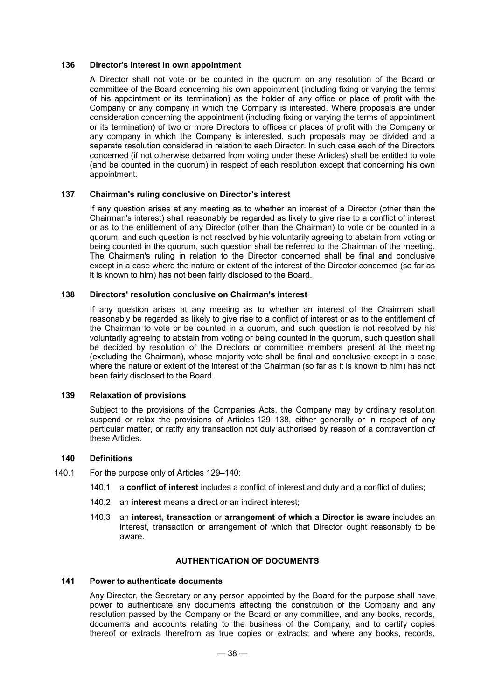#### **136 Director's interest in own appointment**

A Director shall not vote or be counted in the quorum on any resolution of the Board or committee of the Board concerning his own appointment (including fixing or varying the terms of his appointment or its termination) as the holder of any office or place of profit with the Company or any company in which the Company is interested. Where proposals are under consideration concerning the appointment (including fixing or varying the terms of appointment or its termination) of two or more Directors to offices or places of profit with the Company or any company in which the Company is interested, such proposals may be divided and a separate resolution considered in relation to each Director. In such case each of the Directors concerned (if not otherwise debarred from voting under these Articles) shall be entitled to vote (and be counted in the quorum) in respect of each resolution except that concerning his own appointment.

#### **137 Chairman's ruling conclusive on Director's interest**

If any question arises at any meeting as to whether an interest of a Director (other than the Chairman's interest) shall reasonably be regarded as likely to give rise to a conflict of interest or as to the entitlement of any Director (other than the Chairman) to vote or be counted in a quorum, and such question is not resolved by his voluntarily agreeing to abstain from voting or being counted in the quorum, such question shall be referred to the Chairman of the meeting. The Chairman's ruling in relation to the Director concerned shall be final and conclusive except in a case where the nature or extent of the interest of the Director concerned (so far as it is known to him) has not been fairly disclosed to the Board.

## **138 Directors' resolution conclusive on Chairman's interest**

If any question arises at any meeting as to whether an interest of the Chairman shall reasonably be regarded as likely to give rise to a conflict of interest or as to the entitlement of the Chairman to vote or be counted in a quorum, and such question is not resolved by his voluntarily agreeing to abstain from voting or being counted in the quorum, such question shall be decided by resolution of the Directors or committee members present at the meeting (excluding the Chairman), whose majority vote shall be final and conclusive except in a case where the nature or extent of the interest of the Chairman (so far as it is known to him) has not been fairly disclosed to the Board.

## **139 Relaxation of provisions**

Subject to the provisions of the Companies Acts, the Company may by ordinary resolution suspend or relax the provisions of Articles 129–138, either generally or in respect of any particular matter, or ratify any transaction not duly authorised by reason of a contravention of these Articles.

#### **140 Definitions**

- 140.1 For the purpose only of Articles 129–140:
	- 140.1 a **conflict of interest** includes a conflict of interest and duty and a conflict of duties;
	- 140.2 an **interest** means a direct or an indirect interest;
	- 140.3 an **interest, transaction** or **arrangement of which a Director is aware** includes an interest, transaction or arrangement of which that Director ought reasonably to be aware.

## **AUTHENTICATION OF DOCUMENTS**

#### **141 Power to authenticate documents**

Any Director, the Secretary or any person appointed by the Board for the purpose shall have power to authenticate any documents affecting the constitution of the Company and any resolution passed by the Company or the Board or any committee, and any books, records, documents and accounts relating to the business of the Company, and to certify copies thereof or extracts therefrom as true copies or extracts; and where any books, records,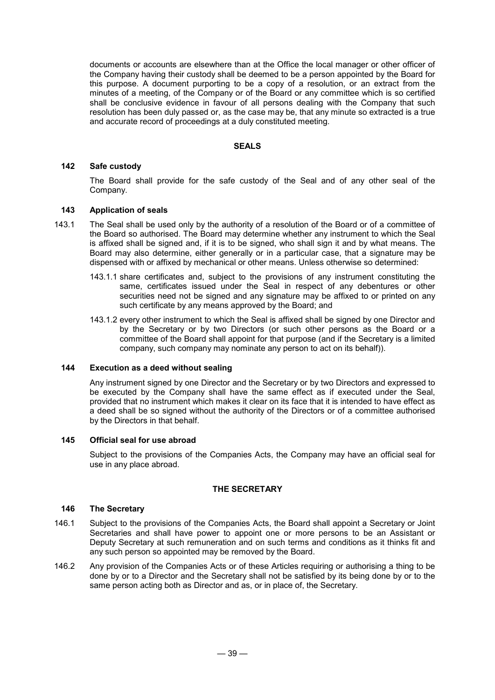documents or accounts are elsewhere than at the Office the local manager or other officer of the Company having their custody shall be deemed to be a person appointed by the Board for this purpose. A document purporting to be a copy of a resolution, or an extract from the minutes of a meeting, of the Company or of the Board or any committee which is so certified shall be conclusive evidence in favour of all persons dealing with the Company that such resolution has been duly passed or, as the case may be, that any minute so extracted is a true and accurate record of proceedings at a duly constituted meeting.

#### **SEALS**

#### **142 Safe custody**

The Board shall provide for the safe custody of the Seal and of any other seal of the Company.

#### **143 Application of seals**

- 143.1 The Seal shall be used only by the authority of a resolution of the Board or of a committee of the Board so authorised. The Board may determine whether any instrument to which the Seal is affixed shall be signed and, if it is to be signed, who shall sign it and by what means. The Board may also determine, either generally or in a particular case, that a signature may be dispensed with or affixed by mechanical or other means. Unless otherwise so determined:
	- 143.1.1 share certificates and, subject to the provisions of any instrument constituting the same, certificates issued under the Seal in respect of any debentures or other securities need not be signed and any signature may be affixed to or printed on any such certificate by any means approved by the Board; and
	- 143.1.2 every other instrument to which the Seal is affixed shall be signed by one Director and by the Secretary or by two Directors (or such other persons as the Board or a committee of the Board shall appoint for that purpose (and if the Secretary is a limited company, such company may nominate any person to act on its behalf)).

## **144 Execution as a deed without sealing**

Any instrument signed by one Director and the Secretary or by two Directors and expressed to be executed by the Company shall have the same effect as if executed under the Seal, provided that no instrument which makes it clear on its face that it is intended to have effect as a deed shall be so signed without the authority of the Directors or of a committee authorised by the Directors in that behalf.

#### **145 Official seal for use abroad**

Subject to the provisions of the Companies Acts, the Company may have an official seal for use in any place abroad.

#### **THE SECRETARY**

#### **146 The Secretary**

- 146.1 Subject to the provisions of the Companies Acts, the Board shall appoint a Secretary or Joint Secretaries and shall have power to appoint one or more persons to be an Assistant or Deputy Secretary at such remuneration and on such terms and conditions as it thinks fit and any such person so appointed may be removed by the Board.
- 146.2 Any provision of the Companies Acts or of these Articles requiring or authorising a thing to be done by or to a Director and the Secretary shall not be satisfied by its being done by or to the same person acting both as Director and as, or in place of, the Secretary.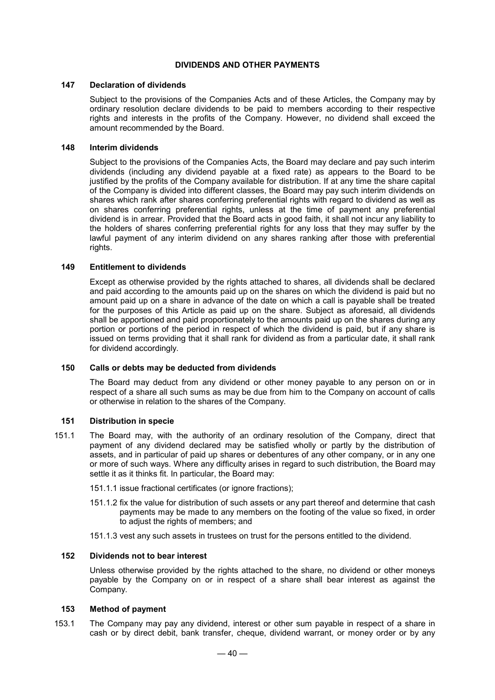#### **DIVIDENDS AND OTHER PAYMENTS**

#### **147 Declaration of dividends**

Subject to the provisions of the Companies Acts and of these Articles, the Company may by ordinary resolution declare dividends to be paid to members according to their respective rights and interests in the profits of the Company. However, no dividend shall exceed the amount recommended by the Board.

#### **148 Interim dividends**

Subject to the provisions of the Companies Acts, the Board may declare and pay such interim dividends (including any dividend payable at a fixed rate) as appears to the Board to be justified by the profits of the Company available for distribution. If at any time the share capital of the Company is divided into different classes, the Board may pay such interim dividends on shares which rank after shares conferring preferential rights with regard to dividend as well as on shares conferring preferential rights, unless at the time of payment any preferential dividend is in arrear. Provided that the Board acts in good faith, it shall not incur any liability to the holders of shares conferring preferential rights for any loss that they may suffer by the lawful payment of any interim dividend on any shares ranking after those with preferential rights.

#### **149 Entitlement to dividends**

Except as otherwise provided by the rights attached to shares, all dividends shall be declared and paid according to the amounts paid up on the shares on which the dividend is paid but no amount paid up on a share in advance of the date on which a call is payable shall be treated for the purposes of this Article as paid up on the share. Subject as aforesaid, all dividends shall be apportioned and paid proportionately to the amounts paid up on the shares during any portion or portions of the period in respect of which the dividend is paid, but if any share is issued on terms providing that it shall rank for dividend as from a particular date, it shall rank for dividend accordingly.

## **150 Calls or debts may be deducted from dividends**

The Board may deduct from any dividend or other money payable to any person on or in respect of a share all such sums as may be due from him to the Company on account of calls or otherwise in relation to the shares of the Company.

#### **151 Distribution in specie**

- 151.1 The Board may, with the authority of an ordinary resolution of the Company, direct that payment of any dividend declared may be satisfied wholly or partly by the distribution of assets, and in particular of paid up shares or debentures of any other company, or in any one or more of such ways. Where any difficulty arises in regard to such distribution, the Board may settle it as it thinks fit. In particular, the Board may:
	- 151.1.1 issue fractional certificates (or ignore fractions);
	- 151.1.2 fix the value for distribution of such assets or any part thereof and determine that cash payments may be made to any members on the footing of the value so fixed, in order to adjust the rights of members; and
	- 151.1.3 vest any such assets in trustees on trust for the persons entitled to the dividend.

#### **152 Dividends not to bear interest**

Unless otherwise provided by the rights attached to the share, no dividend or other moneys payable by the Company on or in respect of a share shall bear interest as against the Company.

#### **153 Method of payment**

153.1 The Company may pay any dividend, interest or other sum payable in respect of a share in cash or by direct debit, bank transfer, cheque, dividend warrant, or money order or by any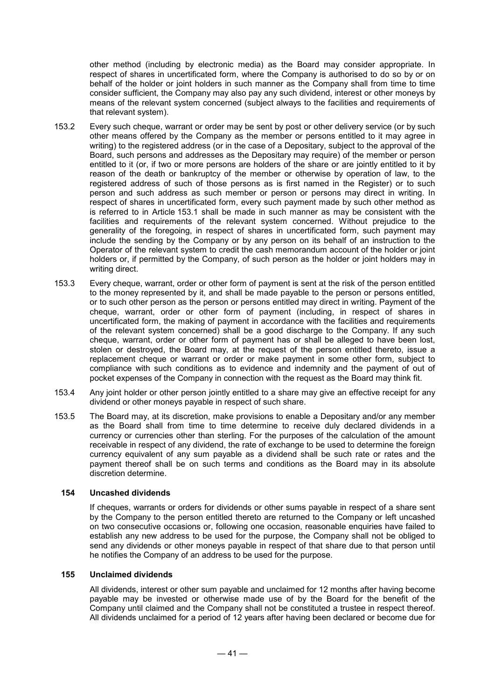other method (including by electronic media) as the Board may consider appropriate. In respect of shares in uncertificated form, where the Company is authorised to do so by or on behalf of the holder or joint holders in such manner as the Company shall from time to time consider sufficient, the Company may also pay any such dividend, interest or other moneys by means of the relevant system concerned (subject always to the facilities and requirements of that relevant system).

- 153.2 Every such cheque, warrant or order may be sent by post or other delivery service (or by such other means offered by the Company as the member or persons entitled to it may agree in writing) to the registered address (or in the case of a Depositary, subject to the approval of the Board, such persons and addresses as the Depositary may require) of the member or person entitled to it (or, if two or more persons are holders of the share or are jointly entitled to it by reason of the death or bankruptcy of the member or otherwise by operation of law, to the registered address of such of those persons as is first named in the Register) or to such person and such address as such member or person or persons may direct in writing. In respect of shares in uncertificated form, every such payment made by such other method as is referred to in Article 153.1 shall be made in such manner as may be consistent with the facilities and requirements of the relevant system concerned. Without prejudice to the generality of the foregoing, in respect of shares in uncertificated form, such payment may include the sending by the Company or by any person on its behalf of an instruction to the Operator of the relevant system to credit the cash memorandum account of the holder or joint holders or, if permitted by the Company, of such person as the holder or joint holders may in writing direct.
- 153.3 Every cheque, warrant, order or other form of payment is sent at the risk of the person entitled to the money represented by it, and shall be made payable to the person or persons entitled, or to such other person as the person or persons entitled may direct in writing. Payment of the cheque, warrant, order or other form of payment (including, in respect of shares in uncertificated form, the making of payment in accordance with the facilities and requirements of the relevant system concerned) shall be a good discharge to the Company. If any such cheque, warrant, order or other form of payment has or shall be alleged to have been lost, stolen or destroyed, the Board may, at the request of the person entitled thereto, issue a replacement cheque or warrant or order or make payment in some other form, subject to compliance with such conditions as to evidence and indemnity and the payment of out of pocket expenses of the Company in connection with the request as the Board may think fit.
- 153.4 Any joint holder or other person jointly entitled to a share may give an effective receipt for any dividend or other moneys payable in respect of such share.
- 153.5 The Board may, at its discretion, make provisions to enable a Depositary and/or any member as the Board shall from time to time determine to receive duly declared dividends in a currency or currencies other than sterling. For the purposes of the calculation of the amount receivable in respect of any dividend, the rate of exchange to be used to determine the foreign currency equivalent of any sum payable as a dividend shall be such rate or rates and the payment thereof shall be on such terms and conditions as the Board may in its absolute discretion determine.

#### **154 Uncashed dividends**

If cheques, warrants or orders for dividends or other sums payable in respect of a share sent by the Company to the person entitled thereto are returned to the Company or left uncashed on two consecutive occasions or, following one occasion, reasonable enquiries have failed to establish any new address to be used for the purpose, the Company shall not be obliged to send any dividends or other moneys payable in respect of that share due to that person until he notifies the Company of an address to be used for the purpose.

#### **155 Unclaimed dividends**

All dividends, interest or other sum payable and unclaimed for 12 months after having become payable may be invested or otherwise made use of by the Board for the benefit of the Company until claimed and the Company shall not be constituted a trustee in respect thereof. All dividends unclaimed for a period of 12 years after having been declared or become due for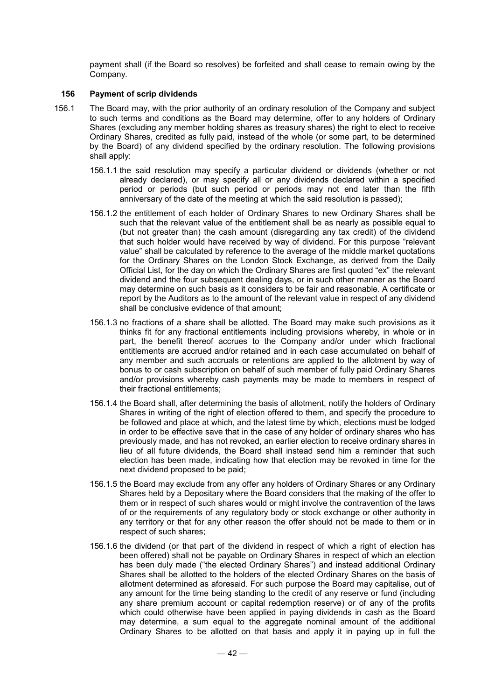payment shall (if the Board so resolves) be forfeited and shall cease to remain owing by the Company.

#### **156 Payment of scrip dividends**

- 156.1 The Board may, with the prior authority of an ordinary resolution of the Company and subject to such terms and conditions as the Board may determine, offer to any holders of Ordinary Shares (excluding any member holding shares as treasury shares) the right to elect to receive Ordinary Shares, credited as fully paid, instead of the whole (or some part, to be determined by the Board) of any dividend specified by the ordinary resolution. The following provisions shall apply:
	- 156.1.1 the said resolution may specify a particular dividend or dividends (whether or not already declared), or may specify all or any dividends declared within a specified period or periods (but such period or periods may not end later than the fifth anniversary of the date of the meeting at which the said resolution is passed);
	- 156.1.2 the entitlement of each holder of Ordinary Shares to new Ordinary Shares shall be such that the relevant value of the entitlement shall be as nearly as possible equal to (but not greater than) the cash amount (disregarding any tax credit) of the dividend that such holder would have received by way of dividend. For this purpose "relevant value" shall be calculated by reference to the average of the middle market quotations for the Ordinary Shares on the London Stock Exchange, as derived from the Daily Official List, for the day on which the Ordinary Shares are first quoted "ex" the relevant dividend and the four subsequent dealing days, or in such other manner as the Board may determine on such basis as it considers to be fair and reasonable. A certificate or report by the Auditors as to the amount of the relevant value in respect of any dividend shall be conclusive evidence of that amount;
	- 156.1.3 no fractions of a share shall be allotted. The Board may make such provisions as it thinks fit for any fractional entitlements including provisions whereby, in whole or in part, the benefit thereof accrues to the Company and/or under which fractional entitlements are accrued and/or retained and in each case accumulated on behalf of any member and such accruals or retentions are applied to the allotment by way of bonus to or cash subscription on behalf of such member of fully paid Ordinary Shares and/or provisions whereby cash payments may be made to members in respect of their fractional entitlements;
	- 156.1.4 the Board shall, after determining the basis of allotment, notify the holders of Ordinary Shares in writing of the right of election offered to them, and specify the procedure to be followed and place at which, and the latest time by which, elections must be lodged in order to be effective save that in the case of any holder of ordinary shares who has previously made, and has not revoked, an earlier election to receive ordinary shares in lieu of all future dividends, the Board shall instead send him a reminder that such election has been made, indicating how that election may be revoked in time for the next dividend proposed to be paid;
	- 156.1.5 the Board may exclude from any offer any holders of Ordinary Shares or any Ordinary Shares held by a Depositary where the Board considers that the making of the offer to them or in respect of such shares would or might involve the contravention of the laws of or the requirements of any regulatory body or stock exchange or other authority in any territory or that for any other reason the offer should not be made to them or in respect of such shares;
	- 156.1.6 the dividend (or that part of the dividend in respect of which a right of election has been offered) shall not be payable on Ordinary Shares in respect of which an election has been duly made ("the elected Ordinary Shares") and instead additional Ordinary Shares shall be allotted to the holders of the elected Ordinary Shares on the basis of allotment determined as aforesaid. For such purpose the Board may capitalise, out of any amount for the time being standing to the credit of any reserve or fund (including any share premium account or capital redemption reserve) or of any of the profits which could otherwise have been applied in paying dividends in cash as the Board may determine, a sum equal to the aggregate nominal amount of the additional Ordinary Shares to be allotted on that basis and apply it in paying up in full the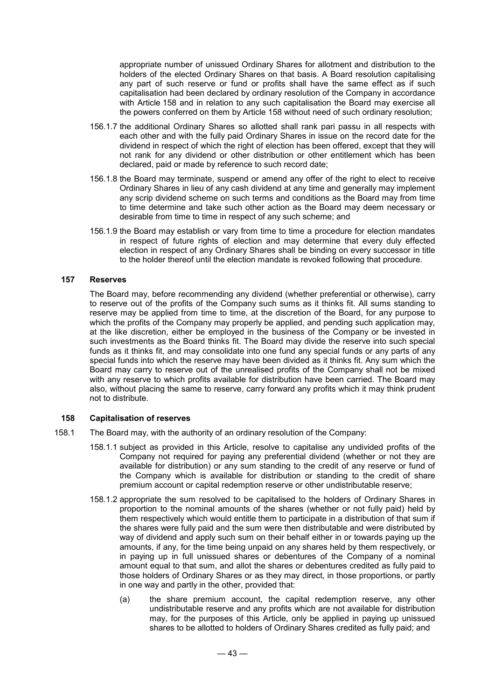appropriate number of unissued Ordinary Shares for allotment and distribution to the holders of the elected Ordinary Shares on that basis. A Board resolution capitalising any part of such reserve or fund or profits shall have the same effect as if such capitalisation had been declared by ordinary resolution of the Company in accordance with Article 158 and in relation to any such capitalisation the Board may exercise all the powers conferred on them by Article 158 without need of such ordinary resolution;

- 156.1.7 the additional Ordinary Shares so allotted shall rank pari passu in all respects with each other and with the fully paid Ordinary Shares in issue on the record date for the dividend in respect of which the right of election has been offered, except that they will not rank for any dividend or other distribution or other entitlement which has been declared, paid or made by reference to such record date;
- 156.1.8 the Board may terminate, suspend or amend any offer of the right to elect to receive Ordinary Shares in lieu of any cash dividend at any time and generally may implement any scrip dividend scheme on such terms and conditions as the Board may from time to time determine and take such other action as the Board may deem necessary or desirable from time to time in respect of any such scheme; and
- 156.1.9 the Board may establish or vary from time to time a procedure for election mandates in respect of future rights of election and may determine that every duly effected election in respect of any Ordinary Shares shall be binding on every successor in title to the holder thereof until the election mandate is revoked following that procedure.

#### **157 Reserves**

The Board may, before recommending any dividend (whether preferential or otherwise), carry to reserve out of the profits of the Company such sums as it thinks fit. All sums standing to reserve may be applied from time to time, at the discretion of the Board, for any purpose to which the profits of the Company may properly be applied, and pending such application may, at the like discretion, either be employed in the business of the Company or be invested in such investments as the Board thinks fit. The Board may divide the reserve into such special funds as it thinks fit, and may consolidate into one fund any special funds or any parts of any special funds into which the reserve may have been divided as it thinks fit. Any sum which the Board may carry to reserve out of the unrealised profits of the Company shall not be mixed with any reserve to which profits available for distribution have been carried. The Board may also, without placing the same to reserve, carry forward any profits which it may think prudent not to distribute.

#### **158 Capitalisation of reserves**

- 158.1 The Board may, with the authority of an ordinary resolution of the Company:
	- 158.1.1 subject as provided in this Article, resolve to capitalise any undivided profits of the Company not required for paying any preferential dividend (whether or not they are available for distribution) or any sum standing to the credit of any reserve or fund of the Company which is available for distribution or standing to the credit of share premium account or capital redemption reserve or other undistributable reserve;
	- 158.1.2 appropriate the sum resolved to be capitalised to the holders of Ordinary Shares in proportion to the nominal amounts of the shares (whether or not fully paid) held by them respectively which would entitle them to participate in a distribution of that sum if the shares were fully paid and the sum were then distributable and were distributed by way of dividend and apply such sum on their behalf either in or towards paying up the amounts, if any, for the time being unpaid on any shares held by them respectively, or in paying up in full unissued shares or debentures of the Company of a nominal amount equal to that sum, and allot the shares or debentures credited as fully paid to those holders of Ordinary Shares or as they may direct, in those proportions, or partly in one way and partly in the other, provided that:
		- (a) the share premium account, the capital redemption reserve, any other undistributable reserve and any profits which are not available for distribution may, for the purposes of this Article, only be applied in paying up unissued shares to be allotted to holders of Ordinary Shares credited as fully paid; and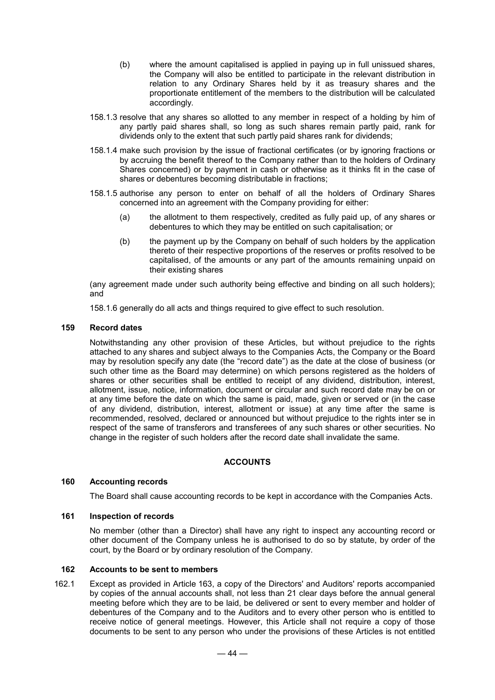- (b) where the amount capitalised is applied in paying up in full unissued shares, the Company will also be entitled to participate in the relevant distribution in relation to any Ordinary Shares held by it as treasury shares and the proportionate entitlement of the members to the distribution will be calculated accordingly.
- 158.1.3 resolve that any shares so allotted to any member in respect of a holding by him of any partly paid shares shall, so long as such shares remain partly paid, rank for dividends only to the extent that such partly paid shares rank for dividends;
- 158.1.4 make such provision by the issue of fractional certificates (or by ignoring fractions or by accruing the benefit thereof to the Company rather than to the holders of Ordinary Shares concerned) or by payment in cash or otherwise as it thinks fit in the case of shares or debentures becoming distributable in fractions;
- 158.1.5 authorise any person to enter on behalf of all the holders of Ordinary Shares concerned into an agreement with the Company providing for either:
	- (a) the allotment to them respectively, credited as fully paid up, of any shares or debentures to which they may be entitled on such capitalisation; or
	- (b) the payment up by the Company on behalf of such holders by the application thereto of their respective proportions of the reserves or profits resolved to be capitalised, of the amounts or any part of the amounts remaining unpaid on their existing shares

(any agreement made under such authority being effective and binding on all such holders); and

158.1.6 generally do all acts and things required to give effect to such resolution.

#### **159 Record dates**

Notwithstanding any other provision of these Articles, but without prejudice to the rights attached to any shares and subject always to the Companies Acts, the Company or the Board may by resolution specify any date (the "record date") as the date at the close of business (or such other time as the Board may determine) on which persons registered as the holders of shares or other securities shall be entitled to receipt of any dividend, distribution, interest, allotment, issue, notice, information, document or circular and such record date may be on or at any time before the date on which the same is paid, made, given or served or (in the case of any dividend, distribution, interest, allotment or issue) at any time after the same is recommended, resolved, declared or announced but without prejudice to the rights inter se in respect of the same of transferors and transferees of any such shares or other securities. No change in the register of such holders after the record date shall invalidate the same.

## **ACCOUNTS**

#### **160 Accounting records**

The Board shall cause accounting records to be kept in accordance with the Companies Acts.

## **161 Inspection of records**

No member (other than a Director) shall have any right to inspect any accounting record or other document of the Company unless he is authorised to do so by statute, by order of the court, by the Board or by ordinary resolution of the Company.

## **162 Accounts to be sent to members**

162.1 Except as provided in Article 163, a copy of the Directors' and Auditors' reports accompanied by copies of the annual accounts shall, not less than 21 clear days before the annual general meeting before which they are to be laid, be delivered or sent to every member and holder of debentures of the Company and to the Auditors and to every other person who is entitled to receive notice of general meetings. However, this Article shall not require a copy of those documents to be sent to any person who under the provisions of these Articles is not entitled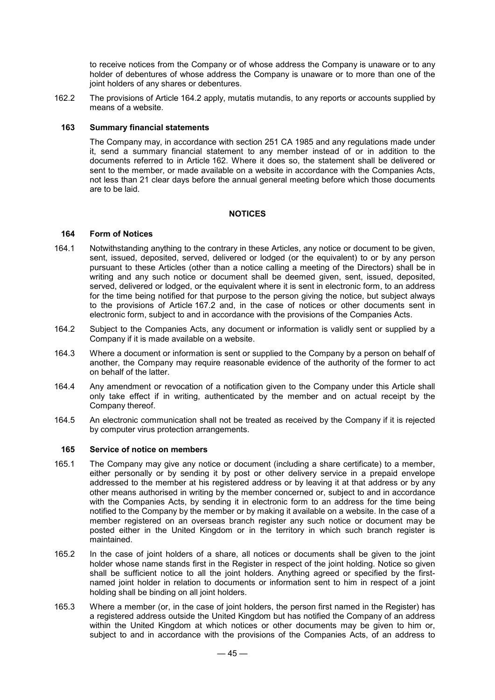to receive notices from the Company or of whose address the Company is unaware or to any holder of debentures of whose address the Company is unaware or to more than one of the joint holders of any shares or debentures.

162.2 The provisions of Article 164.2 apply, mutatis mutandis, to any reports or accounts supplied by means of a website.

## **163 Summary financial statements**

The Company may, in accordance with section 251 CA 1985 and any regulations made under it, send a summary financial statement to any member instead of or in addition to the documents referred to in Article 162. Where it does so, the statement shall be delivered or sent to the member, or made available on a website in accordance with the Companies Acts, not less than 21 clear days before the annual general meeting before which those documents are to be laid.

#### **NOTICES**

#### **164 Form of Notices**

- 164.1 Notwithstanding anything to the contrary in these Articles, any notice or document to be given, sent, issued, deposited, served, delivered or lodged (or the equivalent) to or by any person pursuant to these Articles (other than a notice calling a meeting of the Directors) shall be in writing and any such notice or document shall be deemed given, sent, issued, deposited, served, delivered or lodged, or the equivalent where it is sent in electronic form, to an address for the time being notified for that purpose to the person giving the notice, but subject always to the provisions of Article 167.2 and, in the case of notices or other documents sent in electronic form, subject to and in accordance with the provisions of the Companies Acts.
- 164.2 Subject to the Companies Acts, any document or information is validly sent or supplied by a Company if it is made available on a website.
- 164.3 Where a document or information is sent or supplied to the Company by a person on behalf of another, the Company may require reasonable evidence of the authority of the former to act on behalf of the latter.
- 164.4 Any amendment or revocation of a notification given to the Company under this Article shall only take effect if in writing, authenticated by the member and on actual receipt by the Company thereof.
- 164.5 An electronic communication shall not be treated as received by the Company if it is rejected by computer virus protection arrangements.

#### **165 Service of notice on members**

- 165.1 The Company may give any notice or document (including a share certificate) to a member, either personally or by sending it by post or other delivery service in a prepaid envelope addressed to the member at his registered address or by leaving it at that address or by any other means authorised in writing by the member concerned or, subject to and in accordance with the Companies Acts, by sending it in electronic form to an address for the time being notified to the Company by the member or by making it available on a website. In the case of a member registered on an overseas branch register any such notice or document may be posted either in the United Kingdom or in the territory in which such branch register is maintained.
- 165.2 In the case of joint holders of a share, all notices or documents shall be given to the joint holder whose name stands first in the Register in respect of the joint holding. Notice so given shall be sufficient notice to all the joint holders. Anything agreed or specified by the firstnamed joint holder in relation to documents or information sent to him in respect of a joint holding shall be binding on all joint holders.
- 165.3 Where a member (or, in the case of joint holders, the person first named in the Register) has a registered address outside the United Kingdom but has notified the Company of an address within the United Kingdom at which notices or other documents may be given to him or, subject to and in accordance with the provisions of the Companies Acts, of an address to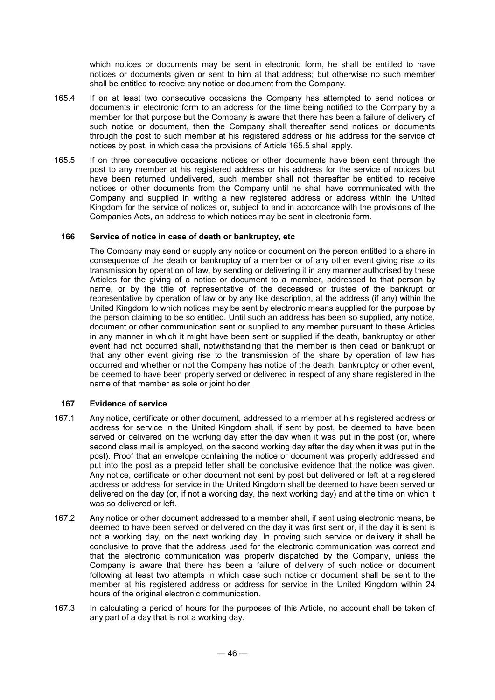which notices or documents may be sent in electronic form, he shall be entitled to have notices or documents given or sent to him at that address; but otherwise no such member shall be entitled to receive any notice or document from the Company.

- 165.4 If on at least two consecutive occasions the Company has attempted to send notices or documents in electronic form to an address for the time being notified to the Company by a member for that purpose but the Company is aware that there has been a failure of delivery of such notice or document, then the Company shall thereafter send notices or documents through the post to such member at his registered address or his address for the service of notices by post, in which case the provisions of Article 165.5 shall apply.
- 165.5 If on three consecutive occasions notices or other documents have been sent through the post to any member at his registered address or his address for the service of notices but have been returned undelivered, such member shall not thereafter be entitled to receive notices or other documents from the Company until he shall have communicated with the Company and supplied in writing a new registered address or address within the United Kingdom for the service of notices or, subject to and in accordance with the provisions of the Companies Acts, an address to which notices may be sent in electronic form.

#### **166 Service of notice in case of death or bankruptcy, etc**

The Company may send or supply any notice or document on the person entitled to a share in consequence of the death or bankruptcy of a member or of any other event giving rise to its transmission by operation of law, by sending or delivering it in any manner authorised by these Articles for the giving of a notice or document to a member, addressed to that person by name, or by the title of representative of the deceased or trustee of the bankrupt or representative by operation of law or by any like description, at the address (if any) within the United Kingdom to which notices may be sent by electronic means supplied for the purpose by the person claiming to be so entitled. Until such an address has been so supplied, any notice, document or other communication sent or supplied to any member pursuant to these Articles in any manner in which it might have been sent or supplied if the death, bankruptcy or other event had not occurred shall, notwithstanding that the member is then dead or bankrupt or that any other event giving rise to the transmission of the share by operation of law has occurred and whether or not the Company has notice of the death, bankruptcy or other event, be deemed to have been properly served or delivered in respect of any share registered in the name of that member as sole or joint holder.

## **167 Evidence of service**

- 167.1 Any notice, certificate or other document, addressed to a member at his registered address or address for service in the United Kingdom shall, if sent by post, be deemed to have been served or delivered on the working day after the day when it was put in the post (or, where second class mail is employed, on the second working day after the day when it was put in the post). Proof that an envelope containing the notice or document was properly addressed and put into the post as a prepaid letter shall be conclusive evidence that the notice was given. Any notice, certificate or other document not sent by post but delivered or left at a registered address or address for service in the United Kingdom shall be deemed to have been served or delivered on the day (or, if not a working day, the next working day) and at the time on which it was so delivered or left.
- 167.2 Any notice or other document addressed to a member shall, if sent using electronic means, be deemed to have been served or delivered on the day it was first sent or, if the day it is sent is not a working day, on the next working day. In proving such service or delivery it shall be conclusive to prove that the address used for the electronic communication was correct and that the electronic communication was properly dispatched by the Company, unless the Company is aware that there has been a failure of delivery of such notice or document following at least two attempts in which case such notice or document shall be sent to the member at his registered address or address for service in the United Kingdom within 24 hours of the original electronic communication.
- 167.3 In calculating a period of hours for the purposes of this Article, no account shall be taken of any part of a day that is not a working day.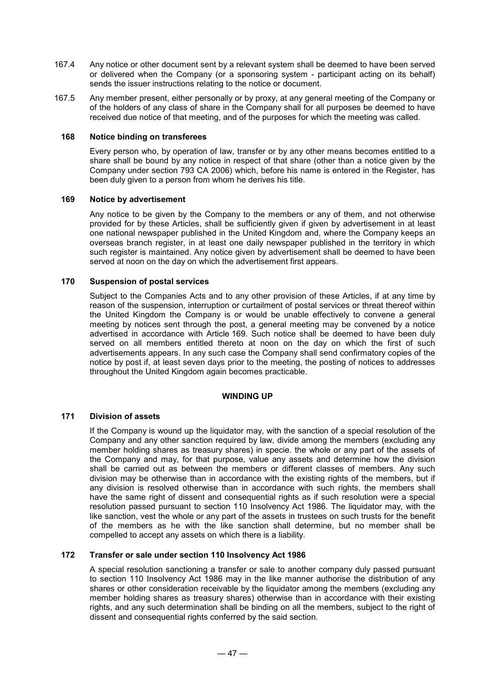- 167.4 Any notice or other document sent by a relevant system shall be deemed to have been served or delivered when the Company (or a sponsoring system - participant acting on its behalf) sends the issuer instructions relating to the notice or document.
- 167.5 Any member present, either personally or by proxy, at any general meeting of the Company or of the holders of any class of share in the Company shall for all purposes be deemed to have received due notice of that meeting, and of the purposes for which the meeting was called.

## **168 Notice binding on transferees**

Every person who, by operation of law, transfer or by any other means becomes entitled to a share shall be bound by any notice in respect of that share (other than a notice given by the Company under section 793 CA 2006) which, before his name is entered in the Register, has been duly given to a person from whom he derives his title.

#### **169 Notice by advertisement**

Any notice to be given by the Company to the members or any of them, and not otherwise provided for by these Articles, shall be sufficiently given if given by advertisement in at least one national newspaper published in the United Kingdom and, where the Company keeps an overseas branch register, in at least one daily newspaper published in the territory in which such register is maintained. Any notice given by advertisement shall be deemed to have been served at noon on the day on which the advertisement first appears.

## **170 Suspension of postal services**

Subject to the Companies Acts and to any other provision of these Articles, if at any time by reason of the suspension, interruption or curtailment of postal services or threat thereof within the United Kingdom the Company is or would be unable effectively to convene a general meeting by notices sent through the post, a general meeting may be convened by a notice advertised in accordance with Article 169. Such notice shall be deemed to have been duly served on all members entitled thereto at noon on the day on which the first of such advertisements appears. In any such case the Company shall send confirmatory copies of the notice by post if, at least seven days prior to the meeting, the posting of notices to addresses throughout the United Kingdom again becomes practicable.

## **WINDING UP**

## **171 Division of assets**

If the Company is wound up the liquidator may, with the sanction of a special resolution of the Company and any other sanction required by law, divide among the members (excluding any member holding shares as treasury shares) in specie. the whole or any part of the assets of the Company and may, for that purpose, value any assets and determine how the division shall be carried out as between the members or different classes of members. Any such division may be otherwise than in accordance with the existing rights of the members, but if any division is resolved otherwise than in accordance with such rights, the members shall have the same right of dissent and consequential rights as if such resolution were a special resolution passed pursuant to section 110 Insolvency Act 1986. The liquidator may, with the like sanction, vest the whole or any part of the assets in trustees on such trusts for the benefit of the members as he with the like sanction shall determine, but no member shall be compelled to accept any assets on which there is a liability.

#### **172 Transfer or sale under section 110 Insolvency Act 1986**

A special resolution sanctioning a transfer or sale to another company duly passed pursuant to section 110 Insolvency Act 1986 may in the like manner authorise the distribution of any shares or other consideration receivable by the liquidator among the members (excluding any member holding shares as treasury shares) otherwise than in accordance with their existing rights, and any such determination shall be binding on all the members, subject to the right of dissent and consequential rights conferred by the said section.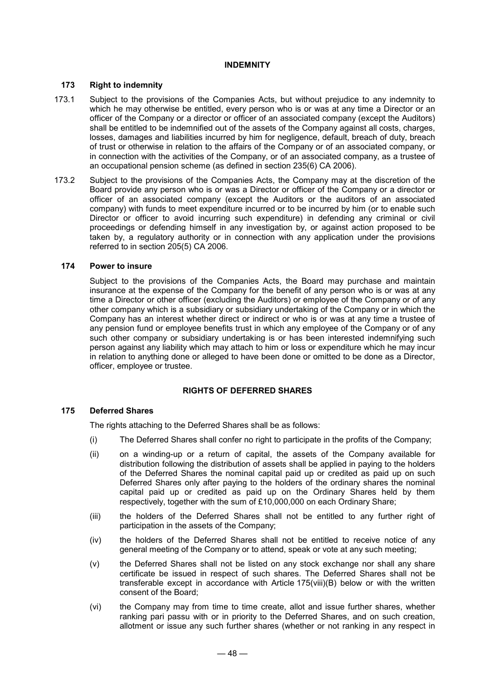## **INDEMNITY**

## **173 Right to indemnity**

- 173.1 Subject to the provisions of the Companies Acts, but without prejudice to any indemnity to which he may otherwise be entitled, every person who is or was at any time a Director or an officer of the Company or a director or officer of an associated company (except the Auditors) shall be entitled to be indemnified out of the assets of the Company against all costs, charges, losses, damages and liabilities incurred by him for negligence, default, breach of duty, breach of trust or otherwise in relation to the affairs of the Company or of an associated company, or in connection with the activities of the Company, or of an associated company, as a trustee of an occupational pension scheme (as defined in section 235(6) CA 2006).
- 173.2 Subject to the provisions of the Companies Acts, the Company may at the discretion of the Board provide any person who is or was a Director or officer of the Company or a director or officer of an associated company (except the Auditors or the auditors of an associated company) with funds to meet expenditure incurred or to be incurred by him (or to enable such Director or officer to avoid incurring such expenditure) in defending any criminal or civil proceedings or defending himself in any investigation by, or against action proposed to be taken by, a regulatory authority or in connection with any application under the provisions referred to in section 205(5) CA 2006.

#### **174 Power to insure**

Subject to the provisions of the Companies Acts, the Board may purchase and maintain insurance at the expense of the Company for the benefit of any person who is or was at any time a Director or other officer (excluding the Auditors) or employee of the Company or of any other company which is a subsidiary or subsidiary undertaking of the Company or in which the Company has an interest whether direct or indirect or who is or was at any time a trustee of any pension fund or employee benefits trust in which any employee of the Company or of any such other company or subsidiary undertaking is or has been interested indemnifying such person against any liability which may attach to him or loss or expenditure which he may incur in relation to anything done or alleged to have been done or omitted to be done as a Director, officer, employee or trustee.

## **RIGHTS OF DEFERRED SHARES**

#### **175 Deferred Shares**

The rights attaching to the Deferred Shares shall be as follows:

- (i) The Deferred Shares shall confer no right to participate in the profits of the Company;
- (ii) on a winding-up or a return of capital, the assets of the Company available for distribution following the distribution of assets shall be applied in paying to the holders of the Deferred Shares the nominal capital paid up or credited as paid up on such Deferred Shares only after paying to the holders of the ordinary shares the nominal capital paid up or credited as paid up on the Ordinary Shares held by them respectively, together with the sum of £10,000,000 on each Ordinary Share;
- (iii) the holders of the Deferred Shares shall not be entitled to any further right of participation in the assets of the Company;
- (iv) the holders of the Deferred Shares shall not be entitled to receive notice of any general meeting of the Company or to attend, speak or vote at any such meeting;
- (v) the Deferred Shares shall not be listed on any stock exchange nor shall any share certificate be issued in respect of such shares. The Deferred Shares shall not be transferable except in accordance with Article 175(viii)(B) below or with the written consent of the Board;
- (vi) the Company may from time to time create, allot and issue further shares, whether ranking pari passu with or in priority to the Deferred Shares, and on such creation, allotment or issue any such further shares (whether or not ranking in any respect in